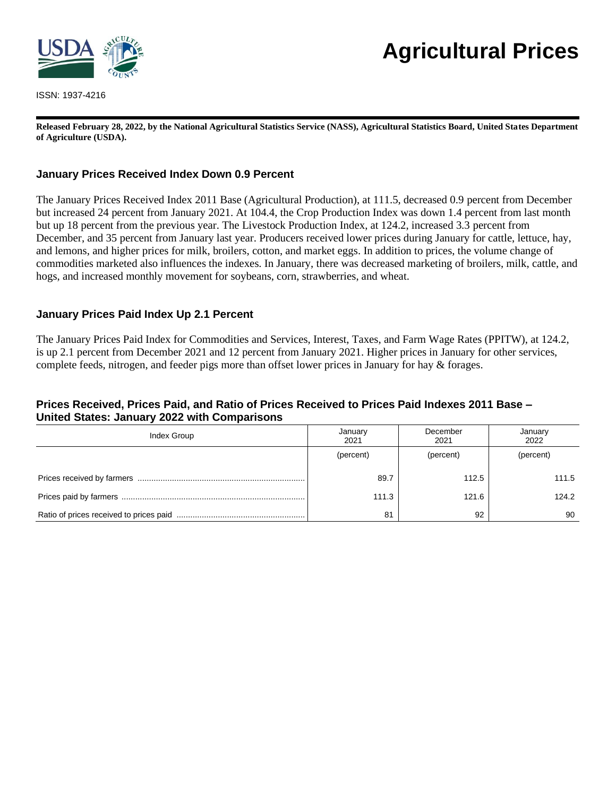

ISSN: 1937-4216

# **Agricultural Prices**

**Released February 28, 2022, by the National Agricultural Statistics Service (NASS), Agricultural Statistics Board, United States Department of Agriculture (USDA).**

## **January Prices Received Index Down 0.9 Percent**

The January Prices Received Index 2011 Base (Agricultural Production), at 111.5, decreased 0.9 percent from December but increased 24 percent from January 2021. At 104.4, the Crop Production Index was down 1.4 percent from last month but up 18 percent from the previous year. The Livestock Production Index, at 124.2, increased 3.3 percent from December, and 35 percent from January last year. Producers received lower prices during January for cattle, lettuce, hay, and lemons, and higher prices for milk, broilers, cotton, and market eggs. In addition to prices, the volume change of commodities marketed also influences the indexes. In January, there was decreased marketing of broilers, milk, cattle, and hogs, and increased monthly movement for soybeans, corn, strawberries, and wheat.

#### **January Prices Paid Index Up 2.1 Percent**

The January Prices Paid Index for Commodities and Services, Interest, Taxes, and Farm Wage Rates (PPITW), at 124.2, is up 2.1 percent from December 2021 and 12 percent from January 2021. Higher prices in January for other services, complete feeds, nitrogen, and feeder pigs more than offset lower prices in January for hay & forages.

#### **Prices Received, Prices Paid, and Ratio of Prices Received to Prices Paid Indexes 2011 Base – United States: January 2022 with Comparisons**

| Index Group | January<br>2021 | December<br>2021 | January<br>2022 |  |
|-------------|-----------------|------------------|-----------------|--|
|             | (percent)       | (percent)        | (percent)       |  |
|             | 89.7            | 112.5            | 111.5           |  |
|             | 111.3           | 121.6            | 124.2           |  |
|             | 81              | 92               | 90              |  |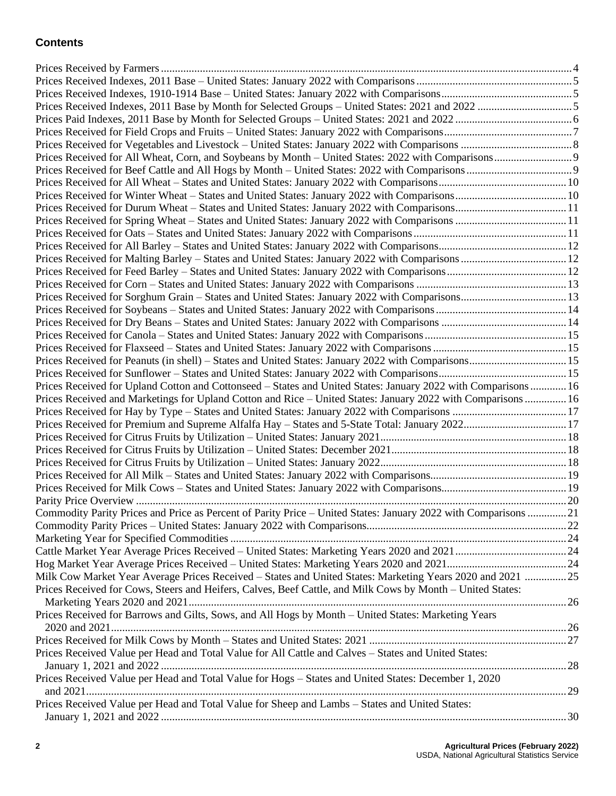# **Contents**

| Prices Received for Peanuts (in shell) - States and United States: January 2022 with Comparisons 15            |  |
|----------------------------------------------------------------------------------------------------------------|--|
|                                                                                                                |  |
| Prices Received for Upland Cotton and Cottonseed - States and United States: January 2022 with Comparisons  16 |  |
| Prices Received and Marketings for Upland Cotton and Rice - United States: January 2022 with Comparisons  16   |  |
|                                                                                                                |  |
| Prices Received for Premium and Supreme Alfalfa Hay - States and 5-State Total: January 202217                 |  |
|                                                                                                                |  |
|                                                                                                                |  |
|                                                                                                                |  |
|                                                                                                                |  |
|                                                                                                                |  |
|                                                                                                                |  |
| Commodity Parity Prices and Price as Percent of Parity Price - United States: January 2022 with Comparisons 21 |  |
|                                                                                                                |  |
|                                                                                                                |  |
|                                                                                                                |  |
|                                                                                                                |  |
| Milk Cow Market Year Average Prices Received - States and United States: Marketing Years 2020 and 2021 25      |  |
| Prices Received for Cows, Steers and Heifers, Calves, Beef Cattle, and Milk Cows by Month - United States:     |  |
| Prices Received for Barrows and Gilts, Sows, and All Hogs by Month - United States: Marketing Years            |  |
|                                                                                                                |  |
|                                                                                                                |  |
| Prices Received Value per Head and Total Value for All Cattle and Calves - States and United States:           |  |
|                                                                                                                |  |
| Prices Received Value per Head and Total Value for Hogs - States and United States: December 1, 2020           |  |
|                                                                                                                |  |
| Prices Received Value per Head and Total Value for Sheep and Lambs - States and United States:                 |  |
|                                                                                                                |  |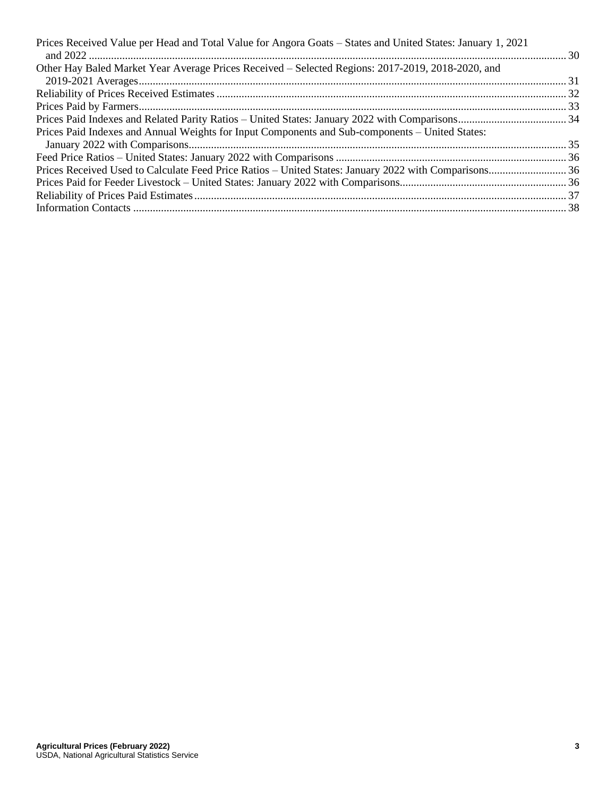| Prices Received Value per Head and Total Value for Angora Goats - States and United States: January 1, 2021 |  |
|-------------------------------------------------------------------------------------------------------------|--|
|                                                                                                             |  |
| Other Hay Baled Market Year Average Prices Received - Selected Regions: 2017-2019, 2018-2020, and           |  |
|                                                                                                             |  |
|                                                                                                             |  |
|                                                                                                             |  |
|                                                                                                             |  |
| Prices Paid Indexes and Annual Weights for Input Components and Sub-components – United States:             |  |
|                                                                                                             |  |
|                                                                                                             |  |
|                                                                                                             |  |
|                                                                                                             |  |
|                                                                                                             |  |
|                                                                                                             |  |
|                                                                                                             |  |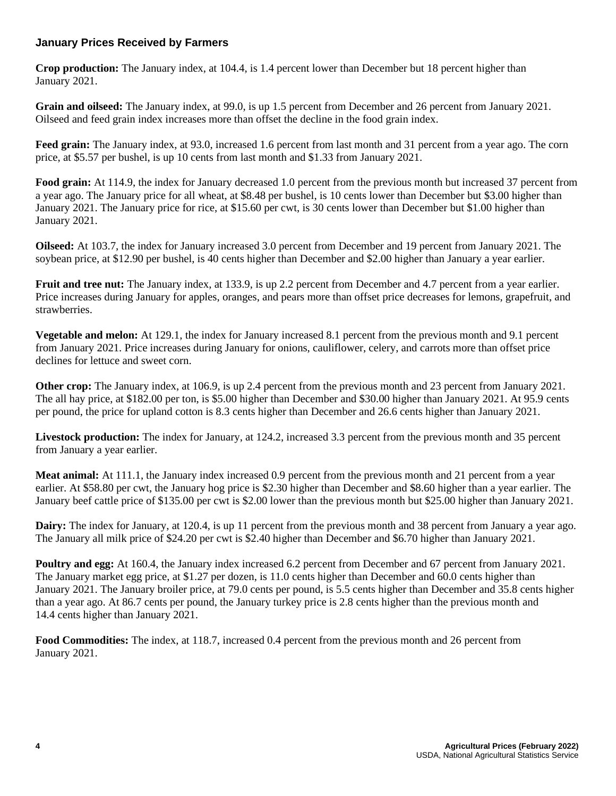## **January Prices Received by Farmers**

**Crop production:** The January index, at 104.4, is 1.4 percent lower than December but 18 percent higher than January 2021.

**Grain and oilseed:** The January index, at 99.0, is up 1.5 percent from December and 26 percent from January 2021. Oilseed and feed grain index increases more than offset the decline in the food grain index.

**Feed grain:** The January index, at 93.0, increased 1.6 percent from last month and 31 percent from a year ago. The corn price, at \$5.57 per bushel, is up 10 cents from last month and \$1.33 from January 2021.

**Food grain:** At 114.9, the index for January decreased 1.0 percent from the previous month but increased 37 percent from a year ago. The January price for all wheat, at \$8.48 per bushel, is 10 cents lower than December but \$3.00 higher than January 2021. The January price for rice, at \$15.60 per cwt, is 30 cents lower than December but \$1.00 higher than January 2021.

**Oilseed:** At 103.7, the index for January increased 3.0 percent from December and 19 percent from January 2021. The soybean price, at \$12.90 per bushel, is 40 cents higher than December and \$2.00 higher than January a year earlier.

**Fruit and tree nut:** The January index, at 133.9, is up 2.2 percent from December and 4.7 percent from a year earlier. Price increases during January for apples, oranges, and pears more than offset price decreases for lemons, grapefruit, and strawberries.

**Vegetable and melon:** At 129.1, the index for January increased 8.1 percent from the previous month and 9.1 percent from January 2021. Price increases during January for onions, cauliflower, celery, and carrots more than offset price declines for lettuce and sweet corn.

**Other crop:** The January index, at 106.9, is up 2.4 percent from the previous month and 23 percent from January 2021. The all hay price, at \$182.00 per ton, is \$5.00 higher than December and \$30.00 higher than January 2021. At 95.9 cents per pound, the price for upland cotton is 8.3 cents higher than December and 26.6 cents higher than January 2021.

**Livestock production:** The index for January, at 124.2, increased 3.3 percent from the previous month and 35 percent from January a year earlier.

**Meat animal:** At 111.1, the January index increased 0.9 percent from the previous month and 21 percent from a year earlier. At \$58.80 per cwt, the January hog price is \$2.30 higher than December and \$8.60 higher than a year earlier. The January beef cattle price of \$135.00 per cwt is \$2.00 lower than the previous month but \$25.00 higher than January 2021.

**Dairy:** The index for January, at 120.4, is up 11 percent from the previous month and 38 percent from January a year ago. The January all milk price of \$24.20 per cwt is \$2.40 higher than December and \$6.70 higher than January 2021.

**Poultry and egg:** At 160.4, the January index increased 6.2 percent from December and 67 percent from January 2021. The January market egg price, at \$1.27 per dozen, is 11.0 cents higher than December and 60.0 cents higher than January 2021. The January broiler price, at 79.0 cents per pound, is 5.5 cents higher than December and 35.8 cents higher than a year ago. At 86.7 cents per pound, the January turkey price is 2.8 cents higher than the previous month and 14.4 cents higher than January 2021.

**Food Commodities:** The index, at 118.7, increased 0.4 percent from the previous month and 26 percent from January 2021.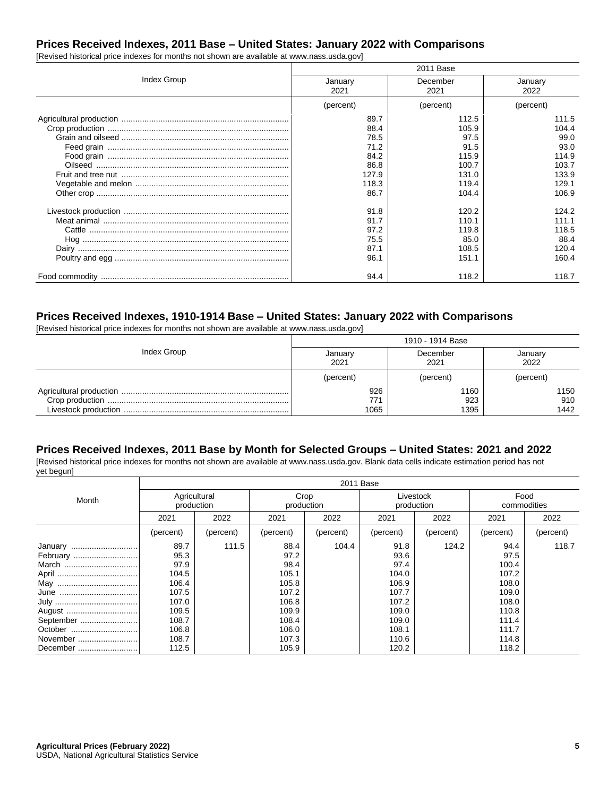# **Prices Received Indexes, 2011 Base – United States: January 2022 with Comparisons**

[Revised historical price indexes for months not shown are available at www.nass.usda.gov]

|             | 2011 Base |           |           |  |  |
|-------------|-----------|-----------|-----------|--|--|
| Index Group | January   | December  | January   |  |  |
|             | 2021      | 2021      | 2022      |  |  |
|             | (percent) | (percent) | (percent) |  |  |
|             | 89.7      | 112.5     | 111.5     |  |  |
|             | 88.4      | 105.9     | 104.4     |  |  |
|             | 78.5      | 97.5      | 99.0      |  |  |
|             | 71.2      | 91.5      | 93.0      |  |  |
|             | 84.2      | 115.9     | 114.9     |  |  |
|             | 86.8      | 100.7     | 103.7     |  |  |
|             | 127.9     | 131.0     | 133.9     |  |  |
|             | 118.3     | 119.4     | 129.1     |  |  |
|             | 86.7      | 104.4     | 106.9     |  |  |
|             | 91.8      | 120.2     | 124.2     |  |  |
|             | 91.7      | 110.1     | 111.1     |  |  |
|             | 97.2      | 119.8     | 118.5     |  |  |
|             | 75.5      | 85.0      | 88.4      |  |  |
|             | 87.1      | 108.5     | 120.4     |  |  |
|             | 96.1      | 151.1     | 160.4     |  |  |
|             | 94.4      | 118.2     | 118.7     |  |  |

#### **Prices Received Indexes, 1910-1914 Base – United States: January 2022 with Comparisons**

[Revised historical price indexes for months not shown are available at www.nass.usda.gov]

|             | 1910 - 1914 Base |           |           |  |  |
|-------------|------------------|-----------|-----------|--|--|
| Index Group | January          | December  | January   |  |  |
|             | 2021             | 2021      | 2022      |  |  |
|             | (percent)        | (percent) | (percent) |  |  |
|             | 926              | 1160      | 1150      |  |  |
|             | 77               | 923       | 910       |  |  |
|             | 1065             | 1395      | 1442      |  |  |

#### **Prices Received Indexes, 2011 Base by Month for Selected Groups – United States: 2021 and 2022**

[Revised historical price indexes for months not shown are available at www.nass.usda.gov. Blank data cells indicate estimation period has not yet begun]

|                                                        | 2011 Base                                          |           |                                                    |           |                                                    |           |                                                    |           |
|--------------------------------------------------------|----------------------------------------------------|-----------|----------------------------------------------------|-----------|----------------------------------------------------|-----------|----------------------------------------------------|-----------|
| Month                                                  | Agricultural<br>production                         |           | Crop<br>production                                 |           | Livestock<br>production                            |           | Food<br>commodities                                |           |
|                                                        | 2021                                               | 2022      | 2021                                               | 2022      | 2021                                               | 2022      | 2021                                               | 2022      |
|                                                        | (percent)                                          | (percent) | (percent)                                          | (percent) | (percent)                                          | (percent) | (percent)                                          | (percent) |
| January<br>February<br>March                           | 89.7<br>95.3<br>97.9<br>104.5<br>106.4<br>107.5    | 111.5     | 88.4<br>97.2<br>98.4<br>105.1<br>105.8<br>107.2    | 104.4     | 91.8<br>93.6<br>97.4<br>104.0<br>106.9<br>107.7    | 124.2     | 94.4<br>97.5<br>100.4<br>107.2<br>108.0<br>109.0   | 118.7     |
| August<br>September<br>October<br>November<br>December | 107.0<br>109.5<br>108.7<br>106.8<br>108.7<br>112.5 |           | 106.8<br>109.9<br>108.4<br>106.0<br>107.3<br>105.9 |           | 107.2<br>109.0<br>109.0<br>108.1<br>110.6<br>120.2 |           | 108.0<br>110.8<br>111.4<br>111.7<br>114.8<br>118.2 |           |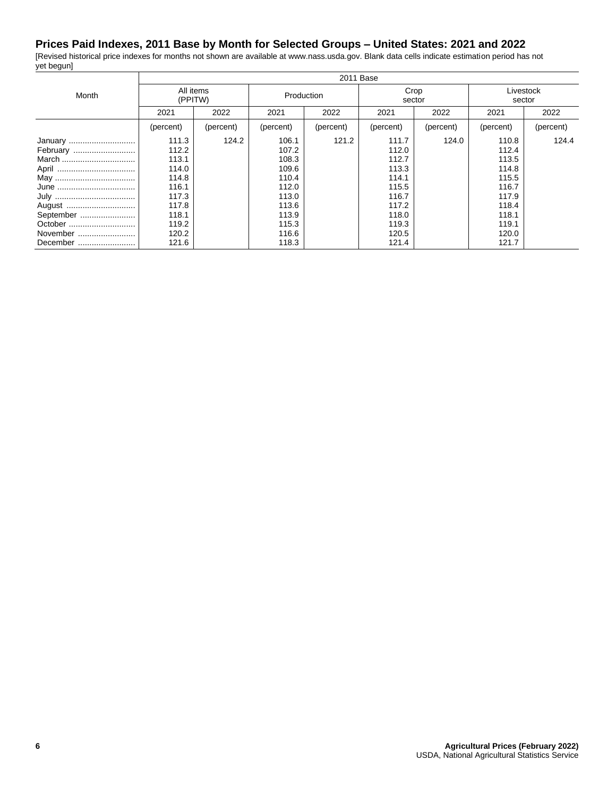#### **Prices Paid Indexes, 2011 Base by Month for Selected Groups – United States: 2021 and 2022**

[Revised historical price indexes for months not shown are available at www.nass.usda.gov. Blank data cells indicate estimation period has not yet begun]  $2011B$ 

|           | 2011 Base            |           |            |           |                |           |                     |           |
|-----------|----------------------|-----------|------------|-----------|----------------|-----------|---------------------|-----------|
| Month     | All items<br>(PPITW) |           | Production |           | Crop<br>sector |           | Livestock<br>sector |           |
|           | 2021                 | 2022      | 2021       | 2022      | 2021           | 2022      | 2021                | 2022      |
|           | (percent)            | (percent) | (percent)  | (percent) | (percent)      | (percent) | (percent)           | (percent) |
| January   | 111.3                | 124.2     | 106.1      | 121.2     | 111.7          | 124.0     | 110.8               | 124.4     |
| February  | 112.2                |           | 107.2      |           | 112.0          |           | 112.4               |           |
| March     | 113.1                |           | 108.3      |           | 112.7          |           | 113.5               |           |
|           | 114.0                |           | 109.6      |           | 113.3          |           | 114.8               |           |
|           | 114.8                |           | 110.4      |           | 114.1          |           | 115.5               |           |
|           | 116.1                |           | 112.0      |           | 115.5          |           | 116.7               |           |
|           | 117.3                |           | 113.0      |           | 116.7          |           | 117.9               |           |
| August    | 117.8                |           | 113.6      |           | 117.2          |           | 118.4               |           |
| September | 118.1                |           | 113.9      |           | 118.0          |           | 118.1               |           |
| October   | 119.2                |           | 115.3      |           | 119.3          |           | 119.1               |           |
| November  | 120.2                |           | 116.6      |           | 120.5          |           | 120.0               |           |
| December  | 121.6                |           | 118.3      |           | 121.4          |           | 121.7               |           |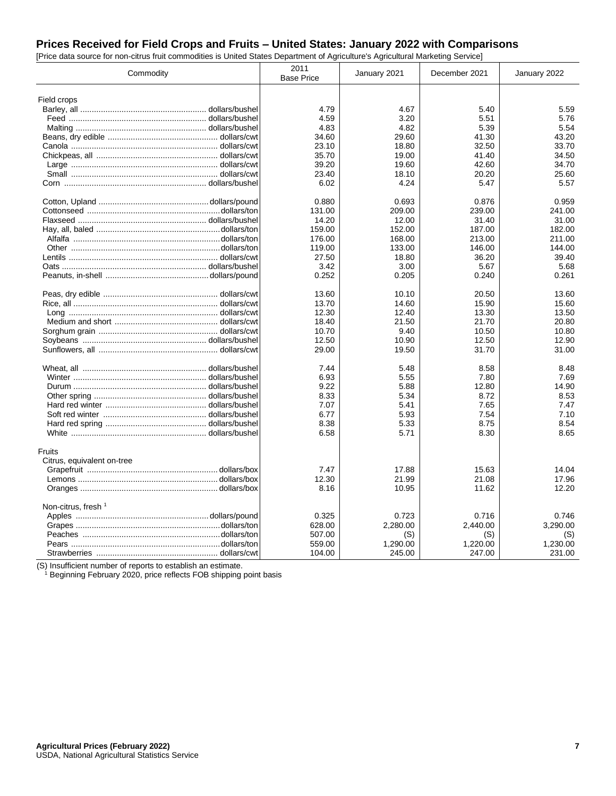## **Prices Received for Field Crops and Fruits – United States: January 2022 with Comparisons**

[Price data source for non-citrus fruit commodities is United States Department of Agriculture's Agricultural Marketing Service]

| Commodity                      | 2011<br><b>Base Price</b> | January 2021 | December 2021 | January 2022 |
|--------------------------------|---------------------------|--------------|---------------|--------------|
|                                |                           |              |               |              |
| Field crops                    |                           |              |               |              |
|                                | 4.79                      | 4.67         | 5.40          | 5.59         |
|                                | 4.59                      | 3.20         | 5.51          | 5.76         |
|                                | 4.83                      | 4.82         | 5.39          | 5.54         |
|                                | 34.60                     | 29.60        | 41.30         | 43.20        |
|                                | 23.10                     | 18.80        | 32.50         | 33.70        |
|                                | 35.70                     | 19.00        | 41.40         | 34.50        |
|                                | 39.20                     | 19.60        | 42.60         | 34.70        |
|                                | 23.40                     | 18.10        | 20.20         | 25.60        |
|                                | 6.02                      | 4.24         | 5.47          | 5.57         |
|                                | 0.880                     | 0.693        | 0.876         | 0.959        |
|                                | 131.00                    | 209.00       | 239.00        | 241.00       |
|                                | 14.20                     | 12.00        | 31.40         | 31.00        |
|                                | 159.00                    | 152.00       | 187.00        | 182.00       |
|                                | 176.00                    | 168.00       | 213.00        | 211.00       |
|                                | 119.00                    | 133.00       | 146.00        | 144.00       |
|                                | 27.50                     | 18.80        | 36.20         | 39.40        |
|                                | 3.42                      | 3.00         | 5.67          | 5.68         |
|                                | 0.252                     | 0.205        | 0.240         | 0.261        |
|                                | 13.60                     | 10.10        | 20.50         | 13.60        |
|                                | 13.70                     | 14.60        | 15.90         | 15.60        |
|                                | 12.30                     | 12.40        | 13.30         | 13.50        |
|                                | 18.40                     | 21.50        | 21.70         | 20.80        |
|                                | 10.70                     | 9.40         | 10.50         | 10.80        |
|                                | 12.50                     | 10.90        | 12.50         | 12.90        |
|                                | 29.00                     | 19.50        | 31.70         | 31.00        |
|                                | 7.44                      | 5.48         | 8.58          | 8.48         |
|                                | 6.93                      | 5.55         | 7.80          | 7.69         |
|                                | 9.22                      | 5.88         | 12.80         | 14.90        |
|                                | 8.33                      | 5.34         | 8.72          | 8.53         |
|                                | 7.07                      | 5.41         | 7.65          | 7.47         |
|                                | 6.77                      | 5.93         | 7.54          | 7.10         |
|                                | 8.38                      | 5.33         | 8.75          | 8.54         |
|                                | 6.58                      | 5.71         | 8.30          | 8.65         |
| Fruits                         |                           |              |               |              |
| Citrus, equivalent on-tree     |                           |              |               |              |
|                                | 7.47                      | 17.88        | 15.63         | 14.04        |
|                                | 12.30                     | 21.99        | 21.08         | 17.96        |
|                                | 8.16                      | 10.95        | 11.62         | 12.20        |
| Non-citrus, fresh <sup>1</sup> |                           |              |               |              |
|                                | 0.325                     | 0.723        | 0.716         | 0.746        |
|                                | 628.00                    | 2,280.00     | 2,440.00      | 3,290.00     |
|                                | 507.00                    | (S)          | (S)           | (S)          |
|                                | 559.00                    | 1,290.00     | 1,220.00      | 1,230.00     |
|                                | 104.00                    | 245.00       | 247.00        | 231.00       |

(S) Insufficient number of reports to establish an estimate.

<sup>1</sup> Beginning February 2020, price reflects FOB shipping point basis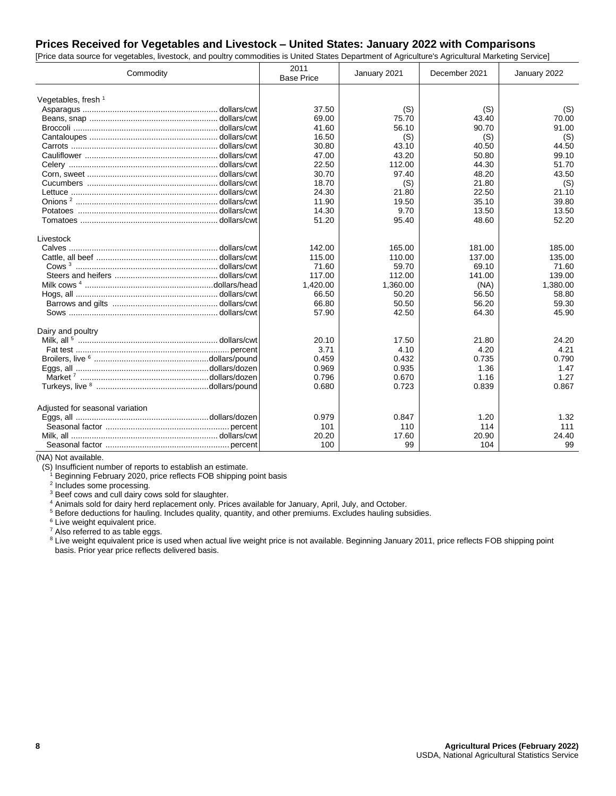## **Prices Received for Vegetables and Livestock – United States: January 2022 with Comparisons**

[Price data source for vegetables, livestock, and poultry commodities is United States Department of Agriculture's Agricultural Marketing Service]

| Commodity                       | 2011<br><b>Base Price</b> | January 2021 | December 2021 | January 2022 |
|---------------------------------|---------------------------|--------------|---------------|--------------|
| Vegetables, fresh $1$           |                           |              |               |              |
|                                 | 37.50                     | (S)          | (S)           | (S)          |
|                                 | 69.00                     | 75.70        | 43.40         | 70.00        |
|                                 | 41.60                     | 56.10        | 90.70         | 91.00        |
|                                 | 16.50                     | (S)          | (S)           | (S)          |
|                                 | 30.80                     | 43.10        | 40.50         | 44.50        |
|                                 | 47.00                     | 43.20        | 50.80         | 99.10        |
|                                 | 22.50                     | 112.00       | 44.30         | 51.70        |
|                                 | 30.70                     | 97.40        | 48.20         | 43.50        |
|                                 | 18.70                     | (S)          | 21.80         | (S)          |
|                                 | 24.30                     | 21.80        | 22.50         | 21.10        |
|                                 | 11.90                     | 19.50        | 35.10         | 39.80        |
|                                 | 14.30                     | 9.70         | 13.50         | 13.50        |
|                                 | 51.20                     | 95.40        | 48.60         | 52.20        |
| Livestock                       |                           |              |               |              |
|                                 | 142.00                    | 165.00       | 181.00        | 185.00       |
|                                 | 115.00                    | 110.00       | 137.00        | 135.00       |
|                                 | 71.60                     | 59.70        | 69.10         | 71.60        |
|                                 | 117.00                    | 112.00       | 141.00        | 139.00       |
|                                 | 1,420.00                  | 1,360.00     | (NA)          | 1,380.00     |
|                                 | 66.50                     | 50.20        | 56.50         | 58.80        |
|                                 | 66.80                     | 50.50        | 56.20         | 59.30        |
|                                 | 57.90                     | 42.50        | 64.30         | 45.90        |
| Dairy and poultry               |                           |              |               |              |
|                                 | 20.10                     | 17.50        | 21.80         | 24.20        |
|                                 | 3.71                      | 4.10         | 4.20          | 4.21         |
|                                 | 0.459                     | 0.432        | 0.735         | 0.790        |
|                                 | 0.969                     | 0.935        | 1.36          | 1.47         |
|                                 | 0.796                     | 0.670        | 1.16          | 1.27         |
|                                 | 0.680                     | 0.723        | 0.839         | 0.867        |
| Adjusted for seasonal variation |                           |              |               |              |
|                                 | 0.979                     | 0.847        | 1.20          | 1.32         |
|                                 | 101                       | 110          | 114           | 111          |
|                                 | 20.20                     | 17.60        | 20.90         | 24.40        |
|                                 | 100                       | 99           | 104           | 99           |

(NA) Not available.

(S) Insufficient number of reports to establish an estimate.

<sup>1</sup> Beginning February 2020, price reflects FOB shipping point basis

<sup>2</sup> Includes some processing.

<sup>3</sup> Beef cows and cull dairy cows sold for slaughter.

<sup>4</sup> Animals sold for dairy herd replacement only. Prices available for January, April, July, and October.

<sup>5</sup> Before deductions for hauling. Includes quality, quantity, and other premiums. Excludes hauling subsidies.

<sup>6</sup> Live weight equivalent price.

<sup>7</sup> Also referred to as table eggs.

<sup>8</sup> Live weight equivalent price is used when actual live weight price is not available. Beginning January 2011, price reflects FOB shipping point basis. Prior year price reflects delivered basis.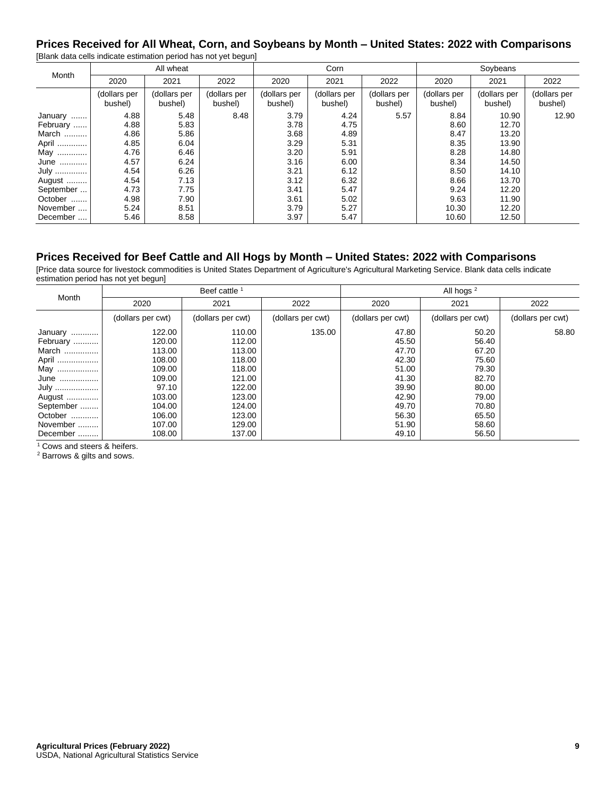#### **Prices Received for All Wheat, Corn, and Soybeans by Month – United States: 2022 with Comparisons** [Blank data cells indicate estimation period has not yet begun]

| <u>Province active compare sourcidition</u> possourcide not you so gaing |                         |                         |                         |                         |                         |                         |                         |                         |                         |
|--------------------------------------------------------------------------|-------------------------|-------------------------|-------------------------|-------------------------|-------------------------|-------------------------|-------------------------|-------------------------|-------------------------|
| Month                                                                    |                         | All wheat               |                         | Corn                    |                         |                         | Soybeans                |                         |                         |
|                                                                          | 2020                    | 2021                    | 2022                    | 2020                    | 2021                    | 2022                    | 2020                    | 2021                    | 2022                    |
|                                                                          | (dollars per<br>bushel) | (dollars per<br>bushel) | (dollars per<br>bushel) | (dollars per<br>bushel) | (dollars per<br>bushel) | (dollars per<br>bushel) | (dollars per<br>bushel) | (dollars per<br>bushel) | (dollars per<br>bushel) |
| January                                                                  | 4.88                    | 5.48                    | 8.48                    | 3.79                    | 4.24                    | 5.57                    | 8.84                    | 10.90                   | 12.90                   |
| February                                                                 | 4.88                    | 5.83                    |                         | 3.78                    | 4.75                    |                         | 8.60                    | 12.70                   |                         |
| March                                                                    | 4.86                    | 5.86                    |                         | 3.68                    | 4.89                    |                         | 8.47                    | 13.20                   |                         |
| April                                                                    | 4.85                    | 6.04                    |                         | 3.29                    | 5.31                    |                         | 8.35                    | 13.90                   |                         |
| May                                                                      | 4.76                    | 6.46                    |                         | 3.20                    | 5.91                    |                         | 8.28                    | 14.80                   |                         |
| June                                                                     | 4.57                    | 6.24                    |                         | 3.16                    | 6.00                    |                         | 8.34                    | 14.50                   |                         |
| July                                                                     | 4.54                    | 6.26                    |                         | 3.21                    | 6.12                    |                         | 8.50                    | 14.10                   |                         |
| August                                                                   | 4.54                    | 7.13                    |                         | 3.12                    | 6.32                    |                         | 8.66                    | 13.70                   |                         |
| September                                                                | 4.73                    | 7.75                    |                         | 3.41                    | 5.47                    |                         | 9.24                    | 12.20                   |                         |
| October                                                                  | 4.98                    | 7.90                    |                         | 3.61                    | 5.02                    |                         | 9.63                    | 11.90                   |                         |
| November                                                                 | 5.24                    | 8.51                    |                         | 3.79                    | 5.27                    |                         | 10.30                   | 12.20                   |                         |
| December                                                                 | 5.46                    | 8.58                    |                         | 3.97                    | 5.47                    |                         | 10.60                   | 12.50                   |                         |

## **Prices Received for Beef Cattle and All Hogs by Month – United States: 2022 with Comparisons**

[Price data source for livestock commodities is United States Department of Agriculture's Agricultural Marketing Service. Blank data cells indicate estimation period has not yet begun]

| Month     |                   | Beef cattle       |                   | All hogs $2$      |                   |                   |  |
|-----------|-------------------|-------------------|-------------------|-------------------|-------------------|-------------------|--|
|           | 2020              | 2021              | 2022              | 2020              | 2021              | 2022              |  |
|           | (dollars per cwt) | (dollars per cwt) | (dollars per cwt) | (dollars per cwt) | (dollars per cwt) | (dollars per cwt) |  |
| January   | 122.00            | 110.00            | 135.00            | 47.80             | 50.20             | 58.80             |  |
| February  | 120.00            | 112.00            |                   | 45.50             | 56.40             |                   |  |
| March     | 113.00            | 113.00            |                   | 47.70             | 67.20             |                   |  |
| April     | 108.00            | 118.00            |                   | 42.30             | 75.60             |                   |  |
| May !     | 109.00            | 118.00            |                   | 51.00             | 79.30             |                   |  |
| June      | 109.00            | 121.00            |                   | 41.30             | 82.70             |                   |  |
| July      | 97.10             | 122.00            |                   | 39.90             | 80.00             |                   |  |
| August    | 103.00            | 123.00            |                   | 42.90             | 79.00             |                   |  |
| September | 104.00            | 124.00            |                   | 49.70             | 70.80             |                   |  |
| October   | 106.00            | 123.00            |                   | 56.30             | 65.50             |                   |  |
| November  | 107.00            | 129.00            |                   | 51.90             | 58.60             |                   |  |
| December  | 108.00            | 137.00            |                   | 49.10             | 56.50             |                   |  |

<sup>1</sup> Cows and steers & heifers.

<sup>2</sup> Barrows & gilts and sows.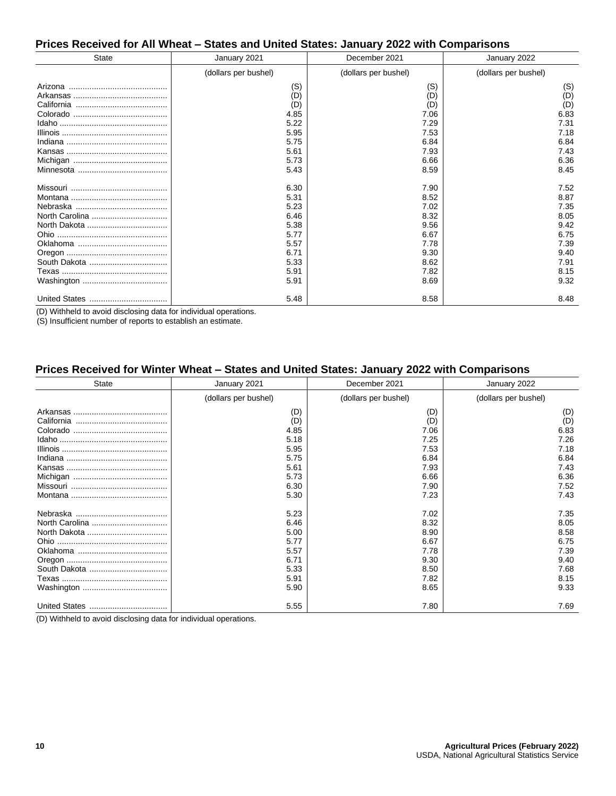#### **Prices Received for All Wheat – States and United States: January 2022 with Comparisons**

| <b>State</b> | January 2021                                                                                 | December 2021                                                                                | January 2022                                                                         |  |
|--------------|----------------------------------------------------------------------------------------------|----------------------------------------------------------------------------------------------|--------------------------------------------------------------------------------------|--|
|              | (dollars per bushel)                                                                         | (dollars per bushel)                                                                         | (dollars per bushel)                                                                 |  |
|              | (S)<br>(D)<br>(D)<br>4.85<br>5.22<br>5.95<br>5.75<br>5.61<br>5.73                            | (S)<br>(D)<br>(D)<br>7.06<br>7.29<br>7.53<br>6.84<br>7.93<br>6.66                            | (S)<br>(D)<br>(D)<br>6.83<br>7.31<br>7.18<br>6.84<br>7.43<br>6.36<br>8.45            |  |
|              | 5.43<br>6.30<br>5.31<br>5.23<br>6.46<br>5.38<br>5.77<br>5.57<br>6.71<br>5.33<br>5.91<br>5.91 | 8.59<br>7.90<br>8.52<br>7.02<br>8.32<br>9.56<br>6.67<br>7.78<br>9.30<br>8.62<br>7.82<br>8.69 | 7.52<br>8.87<br>7.35<br>8.05<br>9.42<br>6.75<br>7.39<br>9.40<br>7.91<br>8.15<br>9.32 |  |
|              | 5.48                                                                                         | 8.58                                                                                         | 8.48                                                                                 |  |

(D) Withheld to avoid disclosing data for individual operations.

(S) Insufficient number of reports to establish an estimate.

#### **Prices Received for Winter Wheat – States and United States: January 2022 with Comparisons**

| State | January 2021         | December 2021        | January 2022         |
|-------|----------------------|----------------------|----------------------|
|       | (dollars per bushel) | (dollars per bushel) | (dollars per bushel) |
|       | (D)                  | (D)                  | (D)                  |
|       | (D)                  | (D)                  | (D)                  |
|       | 4.85                 | 7.06                 | 6.83                 |
|       | 5.18                 | 7.25                 | 7.26                 |
|       | 5.95                 | 7.53                 | 7.18                 |
|       | 5.75                 | 6.84                 | 6.84                 |
|       | 5.61                 | 7.93                 | 7.43                 |
|       | 5.73                 | 6.66                 | 6.36                 |
|       | 6.30                 | 7.90                 | 7.52                 |
|       | 5.30                 | 7.23                 | 7.43                 |
|       | 5.23                 | 7.02                 | 7.35                 |
|       | 6.46                 | 8.32                 | 8.05                 |
|       | 5.00                 | 8.90                 | 8.58                 |
|       | 5.77                 | 6.67                 | 6.75                 |
|       | 5.57                 | 7.78                 | 7.39                 |
|       | 6.71                 | 9.30                 | 9.40                 |
|       | 5.33                 | 8.50                 | 7.68                 |
|       | 5.91                 | 7.82                 | 8.15                 |
|       | 5.90                 | 8.65                 | 9.33                 |
|       | 5.55                 | 7.80                 | 7.69                 |

(D) Withheld to avoid disclosing data for individual operations.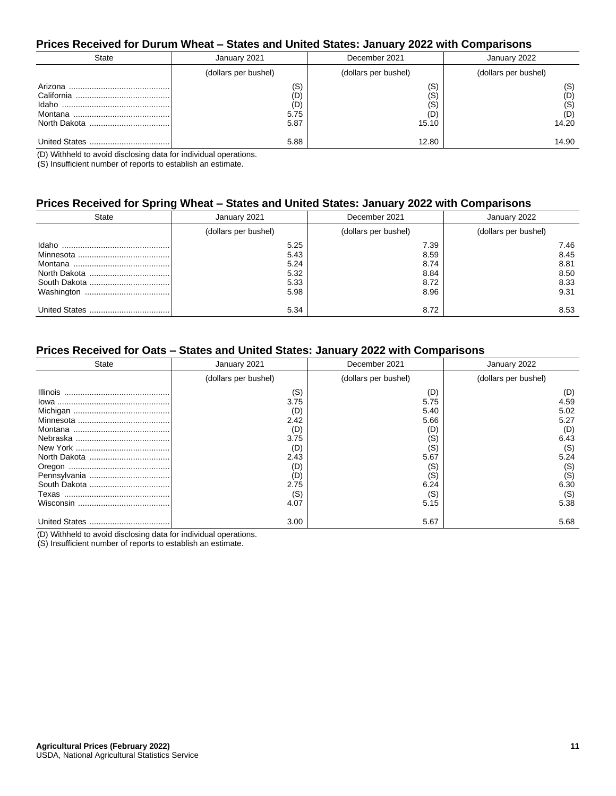#### **Prices Received for Durum Wheat – States and United States: January 2022 with Comparisons**

| State | January 2021                      | December 2021                 | January 2022                      |
|-------|-----------------------------------|-------------------------------|-----------------------------------|
|       | (dollars per bushel)              | (dollars per bushel)          | (dollars per bushel)              |
|       | (S)<br>(D)<br>(D)<br>5.75<br>5.87 | (S<br>(S<br>(S<br>(D<br>15.10 | (S)<br>(D)<br>(S)<br>(D)<br>14.20 |
|       | 5.88                              | 12.80                         | 14.90                             |

(D) Withheld to avoid disclosing data for individual operations.

(S) Insufficient number of reports to establish an estimate.

#### **Prices Received for Spring Wheat – States and United States: January 2022 with Comparisons**

| State | January 2021                                 | December 2021                                | January 2022                                 |
|-------|----------------------------------------------|----------------------------------------------|----------------------------------------------|
|       | (dollars per bushel)                         | (dollars per bushel)                         | (dollars per bushel)                         |
|       | 5.25<br>5.43<br>5.24<br>5.32<br>5.33<br>5.98 | 7.39<br>8.59<br>8.74<br>8.84<br>8.72<br>8.96 | 7.46<br>8.45<br>8.81<br>8.50<br>8.33<br>9.31 |
|       | 5.34                                         | 8.72                                         | 8.53                                         |

# **Prices Received for Oats – States and United States: January 2022 with Comparisons**

| State | January 2021                                                                          | December 2021                                                                         | January 2022                                                                           |
|-------|---------------------------------------------------------------------------------------|---------------------------------------------------------------------------------------|----------------------------------------------------------------------------------------|
|       | (dollars per bushel)                                                                  | (dollars per bushel)                                                                  | (dollars per bushel)                                                                   |
|       | (S)<br>3.75<br>(D)<br>2.42<br>(D)<br>3.75<br>(D)<br>2.43<br>(D)<br>(D)<br>2.75<br>(S) | (D)<br>5.75<br>5.40<br>5.66<br>(D)<br>(S)<br>(S)<br>5.67<br>(S)<br>(S)<br>6.24<br>(S) | (D)<br>4.59<br>5.02<br>5.27<br>(D)<br>6.43<br>(S)<br>5.24<br>(S)<br>(S)<br>6.30<br>(S) |
|       | 4.07                                                                                  | 5.15                                                                                  | 5.38                                                                                   |
|       | 3.00                                                                                  | 5.67                                                                                  | 5.68                                                                                   |

(D) Withheld to avoid disclosing data for individual operations.

(S) Insufficient number of reports to establish an estimate.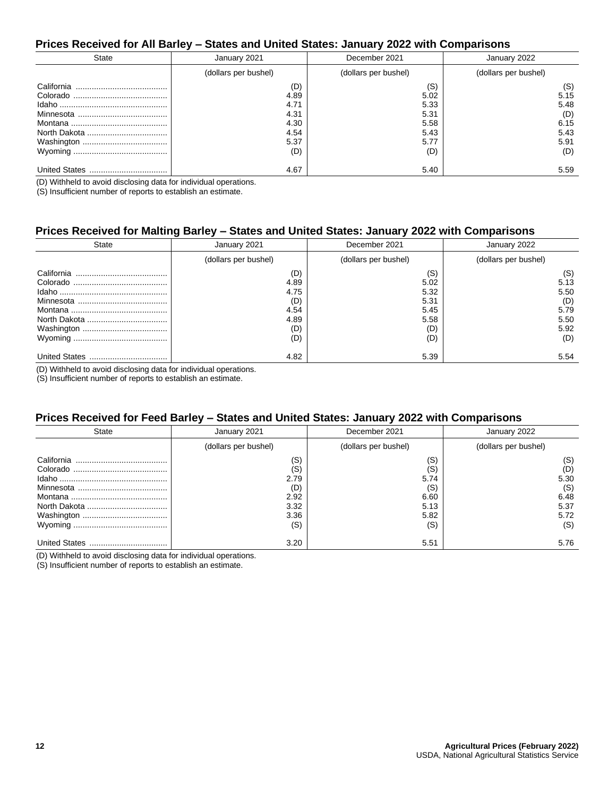#### **Prices Received for All Barley – States and United States: January 2022 with Comparisons**

| State | January 2021                                               | December 2021                                              | January 2022                                              |
|-------|------------------------------------------------------------|------------------------------------------------------------|-----------------------------------------------------------|
|       | (dollars per bushel)                                       | (dollars per bushel)                                       | (dollars per bushel)                                      |
|       | (D)<br>4.89<br>4.71<br>4.31<br>4.30<br>4.54<br>5.37<br>(D) | (S)<br>5.02<br>5.33<br>5.31<br>5.58<br>5.43<br>5.77<br>(D) | (S)<br>5.15<br>5.48<br>(D)<br>6.15<br>5.43<br>5.91<br>(D) |
|       | 4.67                                                       | 5.40                                                       | 5.59                                                      |

(D) Withheld to avoid disclosing data for individual operations.

(S) Insufficient number of reports to establish an estimate.

#### **Prices Received for Malting Barley – States and United States: January 2022 with Comparisons**

| State                    | January 2021                                             | December 2021                                             | January 2022                                              |
|--------------------------|----------------------------------------------------------|-----------------------------------------------------------|-----------------------------------------------------------|
|                          | (dollars per bushel)                                     | (dollars per bushel)                                      | (dollars per bushel)                                      |
| California               | (D)<br>4.89<br>4.75<br>(D)<br>4.54<br>4.89<br>(D)<br>(D) | (S)<br>5.02<br>5.32<br>5.31<br>5.45<br>5.58<br>(D)<br>(D) | (S)<br>5.13<br>5.50<br>(D)<br>5.79<br>5.50<br>5.92<br>(D) |
| <b>United States</b><br> | 4.82                                                     | 5.39                                                      | 5.54                                                      |

(D) Withheld to avoid disclosing data for individual operations.

(S) Insufficient number of reports to establish an estimate.

#### **Prices Received for Feed Barley – States and United States: January 2022 with Comparisons**

| State                | January 2021                                             | December 2021                                            | January 2022                                             |
|----------------------|----------------------------------------------------------|----------------------------------------------------------|----------------------------------------------------------|
|                      | (dollars per bushel)                                     | (dollars per bushel)                                     | (dollars per bushel)                                     |
| California           | (S)<br>(S)<br>2.79<br>(D)<br>2.92<br>3.32<br>3.36<br>(S) | (S)<br>(S)<br>5.74<br>(S)<br>6.60<br>5.13<br>5.82<br>(S) | (S)<br>(D)<br>5.30<br>(S)<br>6.48<br>5.37<br>5.72<br>(S) |
| <b>United States</b> | 3.20                                                     | 5.51                                                     | 5.76                                                     |

(D) Withheld to avoid disclosing data for individual operations.

(S) Insufficient number of reports to establish an estimate.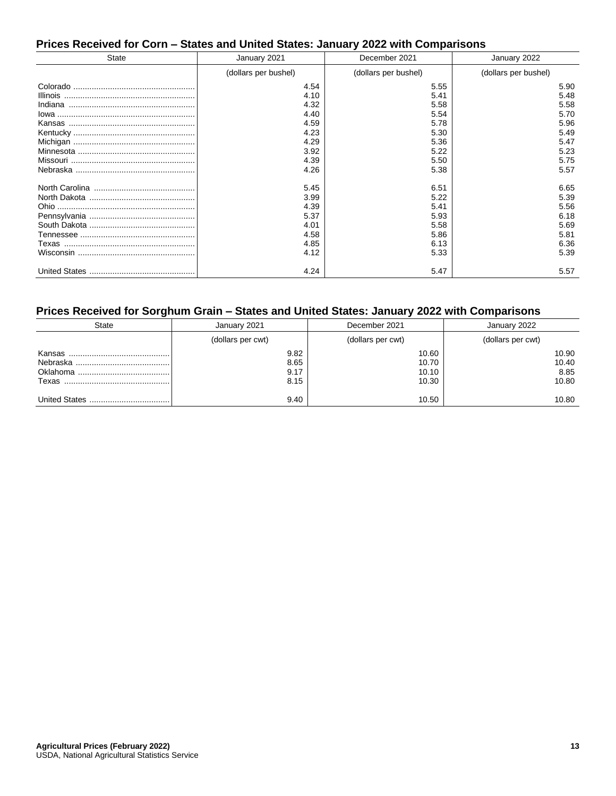# **Prices Received for Corn – States and United States: January 2022 with Comparisons**

| <b>State</b> | January 2021         | December 2021        | January 2022         |
|--------------|----------------------|----------------------|----------------------|
|              | (dollars per bushel) | (dollars per bushel) | (dollars per bushel) |
|              | 4.54                 | 5.55                 | 5.90                 |
|              | 4.10                 | 5.41                 | 5.48                 |
|              | 4.32                 | 5.58                 | 5.58                 |
|              | 4.40                 | 5.54                 | 5.70                 |
|              | 4.59                 | 5.78                 | 5.96                 |
|              | 4.23                 | 5.30                 | 5.49                 |
|              | 4.29                 | 5.36                 | 5.47                 |
|              | 3.92                 | 5.22                 | 5.23                 |
|              | 4.39                 | 5.50                 | 5.75                 |
|              | 4.26                 | 5.38                 | 5.57                 |
|              | 5.45                 | 6.51                 | 6.65                 |
|              | 3.99                 | 5.22                 | 5.39                 |
|              | 4.39                 | 5.41                 | 5.56                 |
|              | 5.37                 | 5.93                 | 6.18                 |
|              | 4.01                 | 5.58                 | 5.69                 |
|              | 4.58                 | 5.86                 | 5.81                 |
|              | 4.85                 | 6.13                 | 6.36                 |
|              | 4.12                 | 5.33                 | 5.39                 |
|              | 4.24                 | 5.47                 | 5.57                 |

#### **Prices Received for Sorghum Grain – States and United States: January 2022 with Comparisons**

| State  | January 2021                 | December 2021                    | January 2022                    |
|--------|------------------------------|----------------------------------|---------------------------------|
|        | (dollars per cwt)            | (dollars per cwt)                | (dollars per cwt)               |
| Kansas | 9.82<br>8.65<br>9.17<br>8.15 | 10.60<br>10.70<br>10.10<br>10.30 | 10.90<br>10.40<br>8.85<br>10.80 |
|        | 9.40                         | 10.50                            | 10.80                           |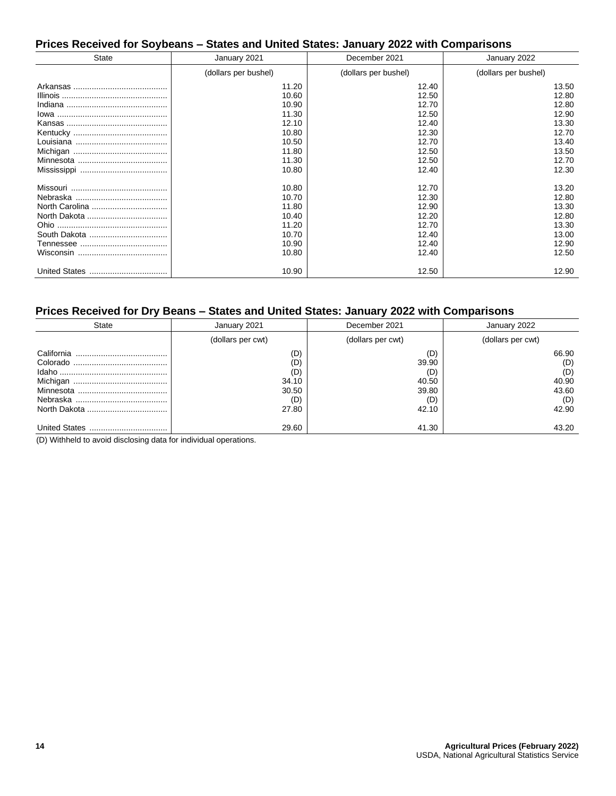# **Prices Received for Soybeans – States and United States: January 2022 with Comparisons**

| <b>State</b> | January 2021         | December 2021        | January 2022         |
|--------------|----------------------|----------------------|----------------------|
|              | (dollars per bushel) | (dollars per bushel) | (dollars per bushel) |
|              | 11.20                | 12.40                | 13.50                |
|              | 10.60                | 12.50                | 12.80                |
|              | 10.90                | 12.70                | 12.80                |
|              | 11.30                | 12.50                | 12.90                |
|              | 12.10                | 12.40                | 13.30                |
|              | 10.80                | 12.30                | 12.70                |
|              | 10.50                | 12.70                | 13.40                |
|              | 11.80                | 12.50                | 13.50                |
|              | 11.30                | 12.50                | 12.70                |
|              | 10.80                | 12.40                | 12.30                |
|              | 10.80                | 12.70                | 13.20                |
|              | 10.70                | 12.30                | 12.80                |
|              | 11.80                | 12.90                | 13.30                |
|              | 10.40                | 12.20                | 12.80                |
|              | 11.20                | 12.70                | 13.30                |
|              | 10.70                | 12.40                | 13.00                |
|              | 10.90                | 12.40                | 12.90                |
|              | 10.80                | 12.40                | 12.50                |
|              | 10.90                | 12.50                | 12.90                |

#### **Prices Received for Dry Beans – States and United States: January 2022 with Comparisons**

| State                | January 2021                                        | December 2021                                         | January 2022                                          |
|----------------------|-----------------------------------------------------|-------------------------------------------------------|-------------------------------------------------------|
|                      | (dollars per cwt)                                   | (dollars per cwt)                                     | (dollars per cwt)                                     |
|                      | (D)<br>(D)<br>(D)<br>34.10<br>30.50<br>(D)<br>27.80 | (D)<br>39.90<br>(D)<br>40.50<br>39.80<br>(D)<br>42.10 | 66.90<br>(D)<br>(D)<br>40.90<br>43.60<br>(D)<br>42.90 |
| <b>United States</b> | 29.60                                               | 41.30                                                 | 43.20                                                 |

(D) Withheld to avoid disclosing data for individual operations.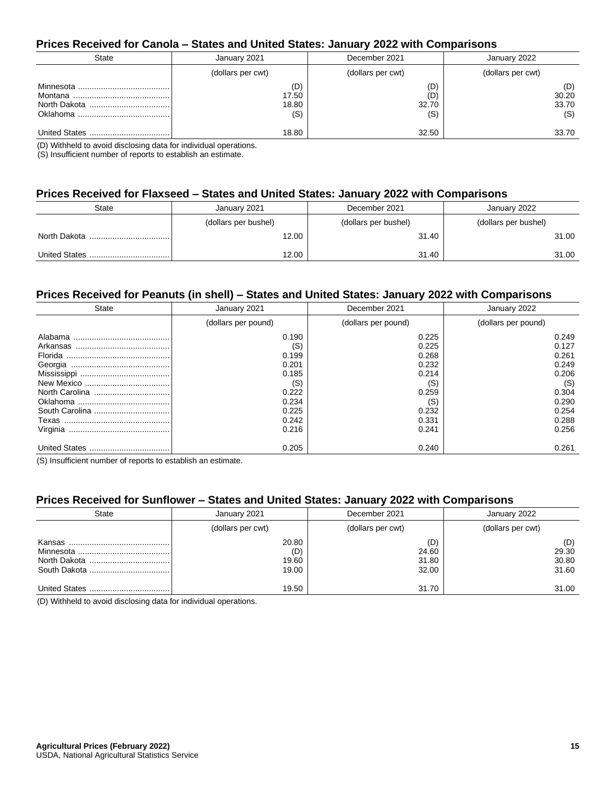#### **Prices Received for Canola – States and United States: January 2022 with Comparisons**

| State | January 2021                 | December 2021              | January 2022                 |
|-------|------------------------------|----------------------------|------------------------------|
|       | (dollars per cwt)            | (dollars per cwt)          | (dollars per cwt)            |
|       | (D)<br>17.50<br>18.80<br>(S) | (D)<br>(D)<br>32.70<br>(S) | (D)<br>30.20<br>33.70<br>(S) |
|       | 18.80                        | 32.50                      | 33.70                        |

(D) Withheld to avoid disclosing data for individual operations.

(S) Insufficient number of reports to establish an estimate.

# **Prices Received for Flaxseed – States and United States: January 2022 with Comparisons**

| <b>State</b> | January 2021         | December 2021        | January 2022         |  |
|--------------|----------------------|----------------------|----------------------|--|
|              | (dollars per bushel) | (dollars per bushel) | (dollars per bushel) |  |
|              | 12.00                | 31.40                | 31.00                |  |
|              | 12.00                | 31.40                | 31.00                |  |

#### **Prices Received for Peanuts (in shell) – States and United States: January 2022 with Comparisons**

| State                | January 2021        | December 2021       | January 2022        |  |
|----------------------|---------------------|---------------------|---------------------|--|
|                      | (dollars per pound) | (dollars per pound) | (dollars per pound) |  |
| Alabama              | 0.190               | 0.225               | 0.249               |  |
|                      | (S)                 | 0.225               | 0.127               |  |
|                      | 0.199               | 0.268               | 0.261               |  |
|                      | 0.201               | 0.232               | 0.249               |  |
|                      | 0.185               | 0.214               | 0.206               |  |
|                      | (S)                 | (S)                 | (S)                 |  |
|                      | 0.222               | 0.259               | 0.304               |  |
|                      | 0.234               | (S)                 | 0.290               |  |
| South Carolina       | 0.225               | 0.232               | 0.254               |  |
|                      | 0.242               | 0.331               | 0.288               |  |
| Virginia             | 0.216               | 0.241               | 0.256               |  |
| <b>United States</b> | 0.205               | 0.240               | 0.261               |  |

(S) Insufficient number of reports to establish an estimate.

#### **Prices Received for Sunflower – States and United States: January 2022 with Comparisons**

| State | January 2021                   | December 2021                  | January 2022                   |  |
|-------|--------------------------------|--------------------------------|--------------------------------|--|
|       | (dollars per cwt)              | (dollars per cwt)              | (dollars per cwt)              |  |
|       | 20.80<br>(D)<br>19.60<br>19.00 | (D)<br>24.60<br>31.80<br>32.00 | (D)<br>29.30<br>30.80<br>31.60 |  |
|       | 19.50                          | 31.70                          | 31.00                          |  |

(D) Withheld to avoid disclosing data for individual operations.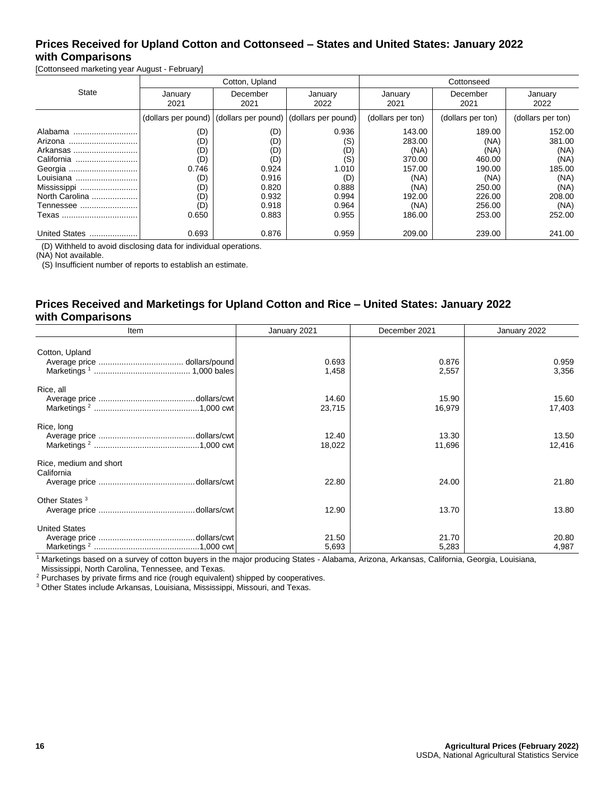## **Prices Received for Upland Cotton and Cottonseed – States and United States: January 2022 with Comparisons**

[Cottonseed marketing year August - February]

|                | Cotton, Upland  |                                                                 |                 | Cottonseed        |                   |                   |  |
|----------------|-----------------|-----------------------------------------------------------------|-----------------|-------------------|-------------------|-------------------|--|
| <b>State</b>   | January<br>2021 | December<br>2021                                                | January<br>2022 | January<br>2021   | December<br>2021  | January<br>2022   |  |
|                |                 | (dollars per pound)   (dollars per pound)   (dollars per pound) |                 | (dollars per ton) | (dollars per ton) | (dollars per ton) |  |
| Alabama        | (D)             | (D)                                                             | 0.936           | 143.00            | 189.00            | 152.00            |  |
| Arizona        | (D)             | (D                                                              | (S)             | 283.00            | (NA)              | 381.00            |  |
| Arkansas       | (D)             | (D)                                                             | (D)             | (NA)              | (NA)              | (NA)              |  |
| California     | (D)             | (D)                                                             | (S)             | 370.00            | 460.00            | (NA)              |  |
| Georgia        | 0.746           | 0.924                                                           | 1.010           | 157.00            | 190.00            | 185.00            |  |
| Louisiana      | (D)             | 0.916                                                           | (D)             | (NA)              | (NA)              | (NA)              |  |
| Mississippi    | (D)             | 0.820                                                           | 0.888           | (NA)              | 250.00            | (NA)              |  |
| North Carolina | (D)             | 0.932                                                           | 0.994           | 192.00            | 226.00            | 208.00            |  |
| Tennessee      | (D)             | 0.918                                                           | 0.964           | (NA)              | 256.00            | (NA)              |  |
| Texas          | 0.650           | 0.883                                                           | 0.955           | 186.00            | 253.00            | 252.00            |  |
| United States  | 0.693           | 0.876                                                           | 0.959           | 209.00            | 239.00            | 241.00            |  |

(D) Withheld to avoid disclosing data for individual operations.

(NA) Not available.

(S) Insufficient number of reports to establish an estimate.

#### **Prices Received and Marketings for Upland Cotton and Rice – United States: January 2022 with Comparisons**

| Item                                 | January 2021                    | December 2021   | January 2022    |
|--------------------------------------|---------------------------------|-----------------|-----------------|
| Cotton, Upland                       | 0.693<br>1,458                  | 0.876<br>2,557  | 0.959<br>3,356  |
| Rice, all                            | 14.60<br>23,715                 | 15.90<br>16,979 | 15.60<br>17,403 |
| Rice, long                           | 12.40<br>18,022                 | 13.30<br>11,696 | 13.50<br>12,416 |
| Rice, medium and short<br>California | 22.80                           | 24.00           | 21.80           |
| Other States <sup>3</sup>            | 12.90                           | 13.70           | 13.80           |
| <b>United States</b>                 | 21.50<br>5,693<br>$\sim$ $\sim$ | 21.70<br>5,283  | 20.80<br>4,987  |

<sup>1</sup> Marketings based on a survey of cotton buyers in the major producing States - Alabama, Arizona, Arkansas, California, Georgia, Louisiana,

Mississippi, North Carolina, Tennessee, and Texas.

<sup>2</sup> Purchases by private firms and rice (rough equivalent) shipped by cooperatives.

<sup>3</sup> Other States include Arkansas, Louisiana, Mississippi, Missouri, and Texas.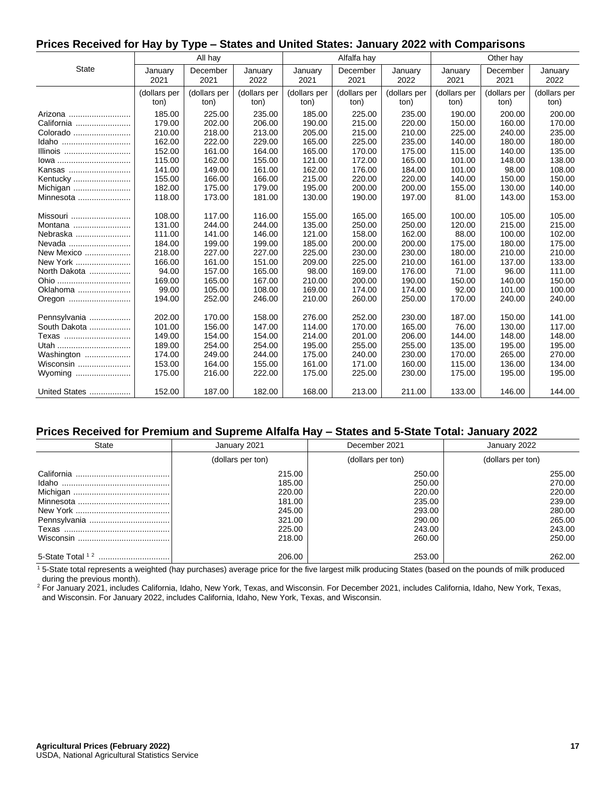#### **Prices Received for Hay by Type – States and United States: January 2022 with Comparisons**

|               |                 | All hay          |                 |                 | Alfalfa hay      |                 |                 | Other hay        |                 |
|---------------|-----------------|------------------|-----------------|-----------------|------------------|-----------------|-----------------|------------------|-----------------|
| <b>State</b>  | January<br>2021 | December<br>2021 | January<br>2022 | January<br>2021 | December<br>2021 | January<br>2022 | January<br>2021 | December<br>2021 | January<br>2022 |
|               | (dollars per    | (dollars per     | (dollars per    | (dollars per    | (dollars per     | (dollars per    | (dollars per    | (dollars per     | (dollars per    |
|               | ton)            | ton)             | ton)            | ton)            | ton)             | ton)            | ton)            | ton)             | ton)            |
| Arizona       | 185.00          | 225.00           | 235.00          | 185.00          | 225.00           | 235.00          | 190.00          | 200.00           | 200.00          |
| California    | 179.00          | 202.00           | 206.00          | 190.00          | 215.00           | 220.00          | 150.00          | 160.00           | 170.00          |
| Colorado      | 210.00          | 218.00           | 213.00          | 205.00          | 215.00           | 210.00          | 225.00          | 240.00           | 235.00          |
| Idaho         | 162.00          | 222.00           | 229.00          | 165.00          | 225.00           | 235.00          | 140.00          | 180.00           | 180.00          |
| Illinois      | 152.00          | 161.00           | 164.00          | 165.00          | 170.00           | 175.00          | 115.00          | 140.00           | 135.00          |
| lowa          | 115.00          | 162.00           | 155.00          | 121.00          | 172.00           | 165.00          | 101.00          | 148.00           | 138.00          |
| Kansas        | 141.00          | 149.00           | 161.00          | 162.00          | 176.00           | 184.00          | 101.00          | 98.00            | 108.00          |
| Kentucky      | 155.00          | 166.00           | 166.00          | 215.00          | 220.00           | 220.00          | 140.00          | 150.00           | 150.00          |
| Michigan      | 182.00          | 175.00           | 179.00          | 195.00          | 200.00           | 200.00          | 155.00          | 130.00           | 140.00          |
| Minnesota     | 118.00          | 173.00           | 181.00          | 130.00          | 190.00           | 197.00          | 81.00           | 143.00           | 153.00          |
|               |                 |                  |                 |                 |                  |                 |                 |                  |                 |
| Missouri      | 108.00          | 117.00           | 116.00          | 155.00          | 165.00           | 165.00          | 100.00          | 105.00           | 105.00          |
| Montana       | 131.00          | 244.00           | 244.00          | 135.00          | 250.00           | 250.00          | 120.00          | 215.00           | 215.00          |
| Nebraska      | 111.00          | 141.00           | 146.00          | 121.00          | 158.00           | 162.00          | 88.00           | 100.00           | 102.00          |
| Nevada        | 184.00          | 199.00           | 199.00          | 185.00          | 200.00           | 200.00          | 175.00          | 180.00           | 175.00          |
| New Mexico    | 218.00          | 227.00           | 227.00          | 225.00          | 230.00           | 230.00          | 180.00          | 210.00           | 210.00          |
| New York      | 166.00          | 161.00           | 151.00          | 209.00          | 225.00           | 210.00          | 161.00          | 137.00           | 133.00          |
| North Dakota  | 94.00           | 157.00           | 165.00          | 98.00           | 169.00           | 176.00          | 71.00           | 96.00            | 111.00          |
| Ohio          | 169.00          | 165.00           | 167.00          | 210.00          | 200.00           | 190.00          | 150.00          | 140.00           | 150.00          |
| Oklahoma      | 99.00           | 105.00           | 108.00          | 169.00          | 174.00           | 174.00          | 92.00           | 101.00           | 100.00          |
| Oregon        | 194.00          | 252.00           | 246.00          | 210.00          | 260.00           | 250.00          | 170.00          | 240.00           | 240.00          |
| Pennsylvania  | 202.00          | 170.00           | 158.00          | 276.00          | 252.00           | 230.00          | 187.00          | 150.00           | 141.00          |
| South Dakota  | 101.00          | 156.00           | 147.00          | 114.00          | 170.00           | 165.00          | 76.00           | 130.00           | 117.00          |
| Texas         | 149.00          | 154.00           | 154.00          | 214.00          | 201.00           | 206.00          | 144.00          | 148.00           | 148.00          |
| Utah          | 189.00          | 254.00           | 254.00          | 195.00          | 255.00           | 255.00          | 135.00          | 195.00           | 195.00          |
| Washington    | 174.00          | 249.00           | 244.00          | 175.00          | 240.00           | 230.00          | 170.00          | 265.00           | 270.00          |
| Wisconsin     | 153.00          | 164.00           | 155.00          | 161.00          | 171.00           | 160.00          | 115.00          | 136.00           | 134.00          |
|               | 175.00          | 216.00           | 222.00          | 175.00          | 225.00           | 230.00          | 175.00          | 195.00           | 195.00          |
| United States | 152.00          | 187.00           | 182.00          | 168.00          | 213.00           | 211.00          | 133.00          | 146.00           | 144.00          |

#### **Prices Received for Premium and Supreme Alfalfa Hay – States and 5-State Total: January 2022**

| State            | January 2021      | December 2021     | January 2022      |
|------------------|-------------------|-------------------|-------------------|
|                  | (dollars per ton) | (dollars per ton) | (dollars per ton) |
|                  | 215.00            | 250.00            | 255.00            |
|                  | 185.00<br>220.00  | 250.00<br>220.00  | 270.00<br>220.00  |
|                  | 181.00<br>245.00  | 235.00<br>293.00  | 239.00<br>280.00  |
|                  | 321.00            | 290.00            | 265.00            |
|                  | 225.00<br>218.00  | 243.00<br>260.00  | 243.00<br>250.00  |
|                  |                   |                   |                   |
| 5-State Total 12 | 206.00            | 253.00            | 262.00            |

 $15$ -State total represents a weighted (hay purchases) average price for the five largest milk producing States (based on the pounds of milk produced during the previous month).

2 For January 2021, includes California, Idaho, New York, Texas, and Wisconsin. For December 2021, includes California, Idaho, New York, Texas, and Wisconsin. For January 2022, includes California, Idaho, New York, Texas, and Wisconsin.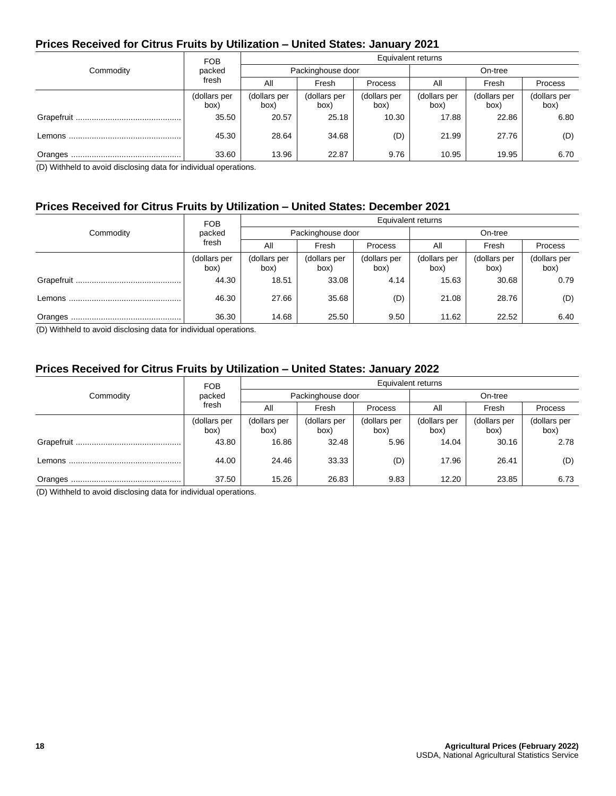# **Prices Received for Citrus Fruits by Utilization – United States: January 2021**

|           | <b>FOB</b>           | Equivalent returns   |                      |                      |                      |                      |                      |  |
|-----------|----------------------|----------------------|----------------------|----------------------|----------------------|----------------------|----------------------|--|
| Commodity | packed               |                      | Packinghouse door    |                      |                      | On-tree              |                      |  |
|           | fresh                | All                  | Fresh                | <b>Process</b>       | All                  | Fresh                | Process              |  |
|           | (dollars per<br>box) | (dollars per<br>box) | (dollars per<br>box) | (dollars per<br>box) | (dollars per<br>box) | (dollars per<br>(box | (dollars per<br>box) |  |
|           | 35.50                | 20.57                | 25.18                | 10.30                | 17.88                | 22.86                | 6.80                 |  |
|           | 45.30                | 28.64                | 34.68                | (D)                  | 21.99                | 27.76                | (D)                  |  |
|           | 33.60                | 13.96                | 22.87                | 9.76                 | 10.95                | 19.95                | 6.70                 |  |

(D) Withheld to avoid disclosing data for individual operations.

#### **Prices Received for Citrus Fruits by Utilization – United States: December 2021**

|           | <b>FOB</b>           | Equivalent returns   |                      |                      |                      |                      |                      |  |
|-----------|----------------------|----------------------|----------------------|----------------------|----------------------|----------------------|----------------------|--|
| Commodity | packed               |                      | Packinghouse door    |                      |                      | On-tree              |                      |  |
|           | fresh                | All                  | Fresh                | <b>Process</b>       | All                  | Fresh                | Process              |  |
|           | (dollars per<br>box) | (dollars per<br>box) | (dollars per<br>(box | (dollars per<br>box) | (dollars per<br>box) | (dollars per<br>box) | (dollars per<br>box) |  |
|           | 44.30                | 18.51                | 33.08                | 4.14                 | 15.63                | 30.68                | 0.79                 |  |
|           | 46.30                | 27.66                | 35.68                | (D)                  | 21.08                | 28.76                | (D)                  |  |
|           | 36.30                | 14.68                | 25.50                | 9.50                 | 11.62                | 22.52                | 6.40                 |  |

(D) Withheld to avoid disclosing data for individual operations.

#### **Prices Received for Citrus Fruits by Utilization – United States: January 2022**

|           | <b>FOB</b>           | Equivalent returns   |                      |                      |                      |                      |                      |  |
|-----------|----------------------|----------------------|----------------------|----------------------|----------------------|----------------------|----------------------|--|
| Commodity | packed               |                      | Packinghouse door    |                      |                      | On-tree              |                      |  |
|           | fresh                | All                  | Fresh                | Process              | All                  | Fresh                | Process              |  |
|           | (dollars per<br>box) | (dollars per<br>box) | (dollars per<br>box) | (dollars per<br>box) | (dollars per<br>box) | (dollars per<br>box) | (dollars per<br>box) |  |
|           | 43.80                | 16.86                | 32.48                | 5.96                 | 14.04                | 30.16                | 2.78                 |  |
|           | 44.00                | 24.46                | 33.33                | (D)                  | 17.96                | 26.41                | (D)                  |  |
|           | 37.50                | 15.26                | 26.83                | 9.83                 | 12.20                | 23.85                | 6.73                 |  |

(D) Withheld to avoid disclosing data for individual operations.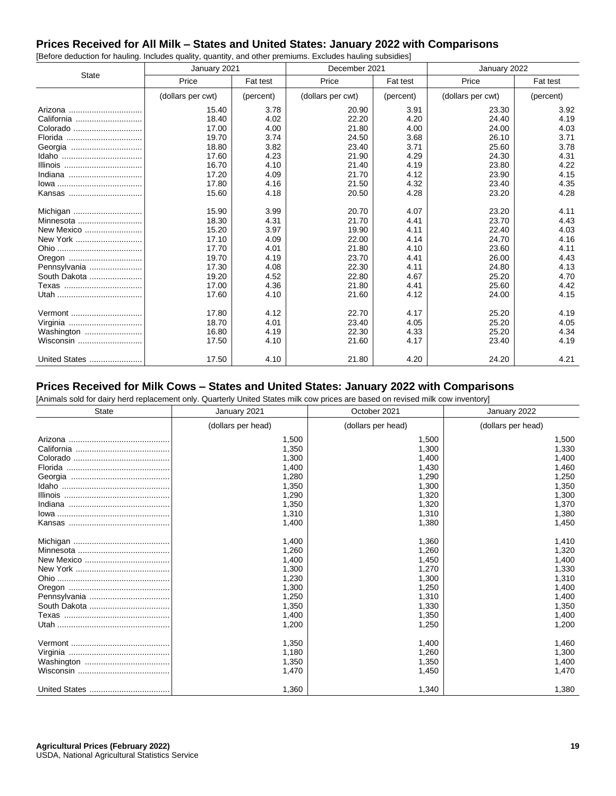#### **Prices Received for All Milk – States and United States: January 2022 with Comparisons** [Before deduction for hauling. Includes quality, quantity, and other premiums. Excludes hauling subsidies]

|               | January 2021      |           | December 2021     |           | January 2022      |           |
|---------------|-------------------|-----------|-------------------|-----------|-------------------|-----------|
| <b>State</b>  | Price             | Fat test  | Price             | Fat test  | Price             | Fat test  |
|               | (dollars per cwt) | (percent) | (dollars per cwt) | (percent) | (dollars per cwt) | (percent) |
| Arizona       | 15.40             | 3.78      | 20.90             | 3.91      | 23.30             | 3.92      |
| California    | 18.40             | 4.02      | 22.20             | 4.20      | 24.40             | 4.19      |
| Colorado      | 17.00             | 4.00      | 21.80             | 4.00      | 24.00             | 4.03      |
| Florida       | 19.70             | 3.74      | 24.50             | 3.68      | 26.10             | 3.71      |
|               | 18.80             | 3.82      | 23.40             | 3.71      | 25.60             | 3.78      |
|               | 17.60             | 4.23      | 21.90             | 4.29      | 24.30             | 4.31      |
|               | 16.70             | 4.10      | 21.40             | 4.19      | 23.80             | 4.22      |
| Indiana       | 17.20             | 4.09      | 21.70             | 4.12      | 23.90             | 4.15      |
|               | 17.80             | 4.16      | 21.50             | 4.32      | 23.40             | 4.35      |
| Kansas        | 15.60             | 4.18      | 20.50             | 4.28      | 23.20             | 4.28      |
| Michigan      | 15.90             | 3.99      | 20.70             | 4.07      | 23.20             | 4.11      |
| Minnesota     | 18.30             | 4.31      | 21.70             | 4.41      | 23.70             | 4.43      |
| New Mexico    | 15.20             | 3.97      | 19.90             | 4.11      | 22.40             | 4.03      |
| New York      | 17.10             | 4.09      | 22.00             | 4.14      | 24.70             | 4.16      |
|               | 17.70             | 4.01      | 21.80             | 4.10      | 23.60             | 4.11      |
|               | 19.70             | 4.19      | 23.70             | 4.41      | 26.00             | 4.43      |
| Pennsylvania  | 17.30             | 4.08      | 22.30             | 4.11      | 24.80             | 4.13      |
| South Dakota  | 19.20             | 4.52      | 22.80             | 4.67      | 25.20             | 4.70      |
| Texas         | 17.00             | 4.36      | 21.80             | 4.41      | 25.60             | 4.42      |
|               | 17.60             | 4.10      | 21.60             | 4.12      | 24.00             | 4.15      |
| Vermont       | 17.80             | 4.12      | 22.70             | 4.17      | 25.20             | 4.19      |
| Virginia      | 18.70             | 4.01      | 23.40             | 4.05      | 25.20             | 4.05      |
| Washington    | 16.80             | 4.19      | 22.30             | 4.33      | 25.20             | 4.34      |
| Wisconsin     | 17.50             | 4.10      | 21.60             | 4.17      | 23.40             | 4.19      |
| United States | 17.50             | 4.10      | 21.80             | 4.20      | 24.20             | 4.21      |

#### **Prices Received for Milk Cows – States and United States: January 2022 with Comparisons**

[Animals sold for dairy herd replacement only. Quarterly United States milk cow prices are based on revised milk cow inventory]

| <b>State</b> | January 2021       | October 2021       | January 2022       |  |
|--------------|--------------------|--------------------|--------------------|--|
|              | (dollars per head) | (dollars per head) | (dollars per head) |  |
|              | 1,500              | 1,500              | 1,500              |  |
|              | 1,350              | 1,300              | 1,330              |  |
|              | 1,300              | 1,400              | 1,400              |  |
|              | 1,400              | 1,430              | 1,460              |  |
|              | 1,280              | 1,290              | 1,250              |  |
|              | 1,350              | 1,300              | 1,350              |  |
|              | 1,290              | 1,320              | 1,300              |  |
|              | 1,350              | 1,320              | 1,370              |  |
|              | 1,310              | 1,310              | 1,380              |  |
|              | 1,400              | 1,380              | 1,450              |  |
|              | 1,400              | 1,360              | 1,410              |  |
|              | 1,260              | 1,260              | 1,320              |  |
|              | 1,400              | 1.450              | 1,400              |  |
|              | 1.300              | 1,270              | 1,330              |  |
|              | 1.230              | 1,300              | 1,310              |  |
|              | 1,300              | 1,250              | 1,400              |  |
|              | 1,250              | 1,310              | 1,400              |  |
|              | 1,350              | 1,330              | 1,350              |  |
|              | 1,400              | 1,350              | 1,400              |  |
|              | 1,200              | 1,250              | 1,200              |  |
|              | 1.350              | 1.400              | 1,460              |  |
|              | 1,180              | 1,260              | 1,300              |  |
|              | 1,350              | 1,350              | 1,400              |  |
|              | 1,470              | 1,450              | 1,470              |  |
|              | 1,360              | 1,340              | 1,380              |  |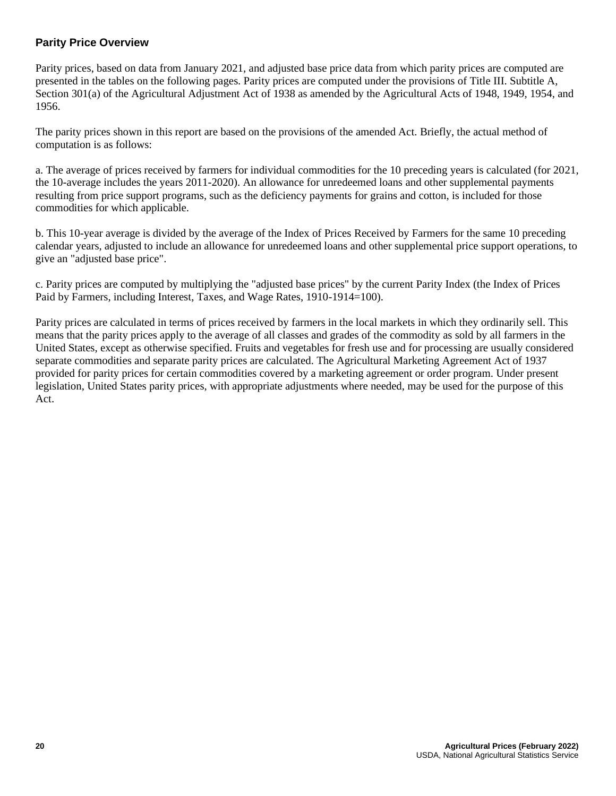#### **Parity Price Overview**

Parity prices, based on data from January 2021, and adjusted base price data from which parity prices are computed are presented in the tables on the following pages. Parity prices are computed under the provisions of Title III. Subtitle A, Section 301(a) of the Agricultural Adjustment Act of 1938 as amended by the Agricultural Acts of 1948, 1949, 1954, and 1956.

The parity prices shown in this report are based on the provisions of the amended Act. Briefly, the actual method of computation is as follows:

a. The average of prices received by farmers for individual commodities for the 10 preceding years is calculated (for 2021, the 10-average includes the years 2011-2020). An allowance for unredeemed loans and other supplemental payments resulting from price support programs, such as the deficiency payments for grains and cotton, is included for those commodities for which applicable.

b. This 10-year average is divided by the average of the Index of Prices Received by Farmers for the same 10 preceding calendar years, adjusted to include an allowance for unredeemed loans and other supplemental price support operations, to give an "adjusted base price".

c. Parity prices are computed by multiplying the "adjusted base prices" by the current Parity Index (the Index of Prices Paid by Farmers, including Interest, Taxes, and Wage Rates, 1910-1914=100).

Parity prices are calculated in terms of prices received by farmers in the local markets in which they ordinarily sell. This means that the parity prices apply to the average of all classes and grades of the commodity as sold by all farmers in the United States, except as otherwise specified. Fruits and vegetables for fresh use and for processing are usually considered separate commodities and separate parity prices are calculated. The Agricultural Marketing Agreement Act of 1937 provided for parity prices for certain commodities covered by a marketing agreement or order program. Under present legislation, United States parity prices, with appropriate adjustments where needed, may be used for the purpose of this Act.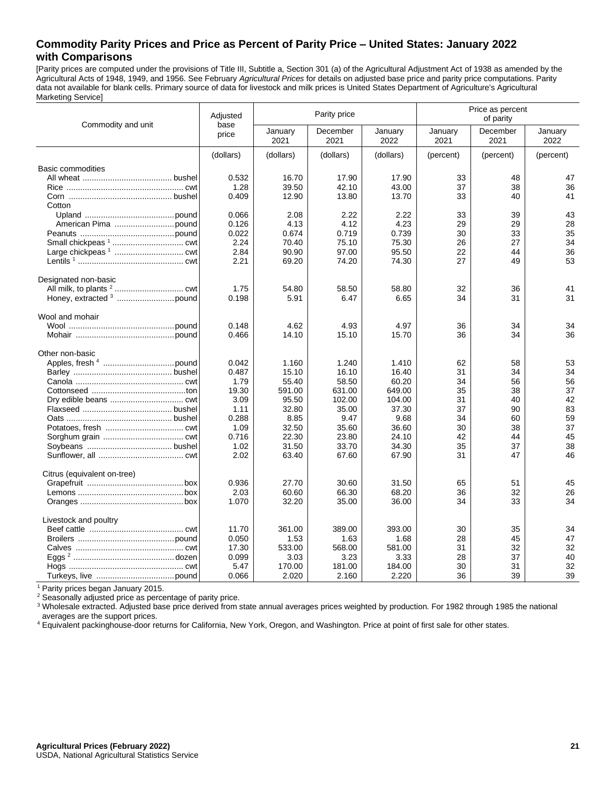#### **Commodity Parity Prices and Price as Percent of Parity Price – United States: January 2022 with Comparisons**

[Parity prices are computed under the provisions of Title III, Subtitle a, Section 301 (a) of the Agricultural Adjustment Act of 1938 as amended by the Agricultural Acts of 1948, 1949, and 1956. See February *Agricultural Prices* for details on adjusted base price and parity price computations. Parity data not available for blank cells. Primary source of data for livestock and milk prices is United States Department of Agriculture's Agricultural Marketing Service]

|                             | Adjusted      | Parity price<br>base |                  |                 | Price as percent<br>of parity |                  |                 |
|-----------------------------|---------------|----------------------|------------------|-----------------|-------------------------------|------------------|-----------------|
| Commodity and unit          | price         | January<br>2021      | December<br>2021 | January<br>2022 | January<br>2021               | December<br>2021 | January<br>2022 |
|                             | (dollars)     | (dollars)            | (dollars)        | (dollars)       | (percent)                     | (percent)        | (percent)       |
| <b>Basic commodities</b>    |               |                      |                  |                 |                               |                  |                 |
|                             | 0.532         | 16.70                | 17.90            | 17.90           | 33                            | 48               | 47              |
|                             | 1.28          | 39.50                | 42.10            | 43.00           | 37                            | 38               | 36              |
| Cotton                      | 0.409         | 12.90                | 13.80            | 13.70           | 33                            | 40               | 41              |
|                             | 0.066         | 2.08                 | 2.22             | 2.22            | 33                            | 39               | 43              |
|                             | 0.126         | 4.13                 | 4.12             | 4.23            | 29                            | 29               | 28              |
|                             | 0.022         | 0.674                | 0.719            | 0.739           | 30                            | 33               | 35              |
|                             | 2.24          | 70.40                | 75.10            | 75.30           | 26                            | 27               | 34              |
|                             | 2.84          | 90.90                | 97.00            | 95.50           | 22                            | 44               | 36              |
|                             | 2.21          | 69.20                | 74.20            | 74.30           | 27                            | 49               | 53              |
| Designated non-basic        |               |                      |                  |                 |                               |                  |                 |
|                             | 1.75          | 54.80                | 58.50            | 58.80           | 32                            | 36               | 41              |
|                             | 0.198         | 5.91                 | 6.47             | 6.65            | 34                            | 31               | 31              |
| Wool and mohair             |               |                      |                  |                 |                               |                  |                 |
|                             | 0.148         | 4.62                 | 4.93             | 4.97            | 36                            | 34               | 34              |
|                             | 0.466         | 14.10                | 15.10            | 15.70           | 36                            | 34               | 36              |
| Other non-basic             |               |                      |                  |                 |                               |                  |                 |
|                             | 0.042         | 1.160                | 1.240            | 1.410           | 62                            | 58               | 53              |
|                             | 0.487         | 15.10                | 16.10            | 16.40           | 31                            | 34               | 34              |
|                             | 1.79          | 55.40                | 58.50            | 60.20           | 34                            | 56               | 56              |
|                             | 19.30         | 591.00               | 631.00           | 649.00          | 35                            | 38               | 37              |
|                             | 3.09          | 95.50                | 102.00           | 104.00          | 31                            | 40               | 42              |
|                             | 1.11          | 32.80                | 35.00            | 37.30           | 37                            | 90               | 83              |
|                             | 0.288         | 8.85                 | 9.47             | 9.68            | 34                            | 60               | 59              |
|                             | 1.09<br>0.716 | 32.50<br>22.30       | 35.60<br>23.80   | 36.60<br>24.10  | 30                            | 38<br>44         | 37<br>45        |
|                             | 1.02          | 31.50                | 33.70            | 34.30           | 42<br>35                      | 37               | 38              |
|                             | 2.02          | 63.40                | 67.60            | 67.90           | 31                            | 47               | 46              |
| Citrus (equivalent on-tree) |               |                      |                  |                 |                               |                  |                 |
|                             | 0.936         | 27.70                | 30.60            | 31.50           | 65                            | 51               | 45              |
|                             | 2.03          | 60.60                | 66.30            | 68.20           | 36                            | 32               | 26              |
|                             | 1.070         | 32.20                | 35.00            | 36.00           | 34                            | 33               | 34              |
| Livestock and poultry       |               |                      |                  |                 |                               |                  |                 |
|                             | 11.70         | 361.00               | 389.00           | 393.00          | 30                            | 35               | 34              |
|                             | 0.050         | 1.53                 | 1.63             | 1.68            | 28                            | 45               | 47              |
|                             | 17.30         | 533.00               | 568.00           | 581.00          | 31                            | 32               | 32              |
|                             | 0.099         | 3.03                 | 3.23             | 3.33            | 28                            | 37               | 40              |
|                             | 5.47          | 170.00               | 181.00           | 184.00          | 30                            | 31               | 32              |
|                             | 0.066         | 2.020                | 2.160            | 2.220           | 36                            | 39               | 39              |

<sup>1</sup> Parity prices began January 2015.

<sup>2</sup> Seasonally adjusted price as percentage of parity price.

<sup>3</sup> Wholesale extracted. Adjusted base price derived from state annual averages prices weighted by production. For 1982 through 1985 the national averages are the support prices.

<sup>4</sup> Equivalent packinghouse-door returns for California, New York, Oregon, and Washington. Price at point of first sale for other states.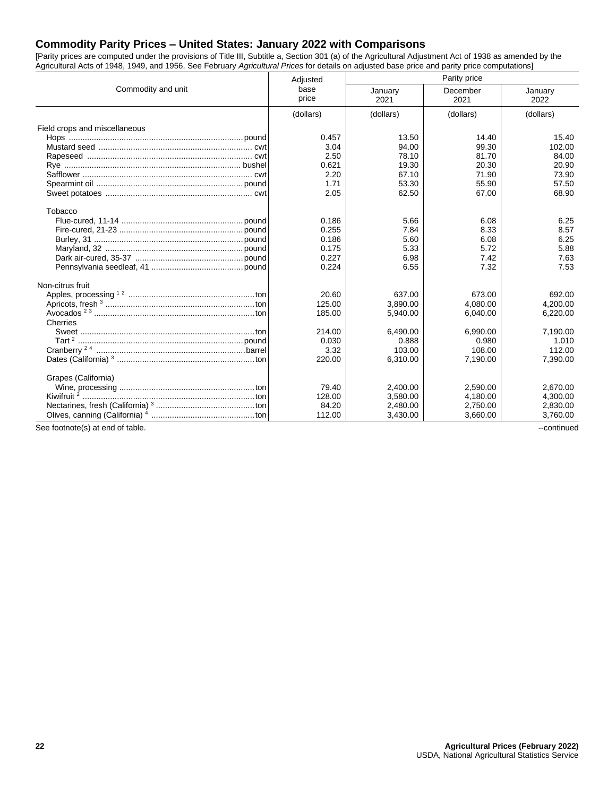## **Commodity Parity Prices – United States: January 2022 with Comparisons**

[Parity prices are computed under the provisions of Title III, Subtitle a, Section 301 (a) of the Agricultural Adjustment Act of 1938 as amended by the Agricultural Acts of 1948, 1949, and 1956. See February *Agricultural Prices* for details on adjusted base price and parity price computations]

|                                  | Adjusted      | Parity price    |                  |                 |  |
|----------------------------------|---------------|-----------------|------------------|-----------------|--|
| Commodity and unit               | base<br>price | January<br>2021 | December<br>2021 | January<br>2022 |  |
|                                  | (dollars)     | (dollars)       | (dollars)        | (dollars)       |  |
| Field crops and miscellaneous    |               |                 |                  |                 |  |
|                                  | 0.457         | 13.50           | 14.40            | 15.40           |  |
|                                  | 3.04          | 94.00           | 99.30            | 102.00          |  |
|                                  | 2.50          | 78.10           | 81.70            | 84.00           |  |
|                                  | 0.621         | 19.30           | 20.30            | 20.90           |  |
|                                  | 2.20          | 67.10           | 71.90            | 73.90           |  |
|                                  | 1.71          | 53.30           | 55.90            | 57.50           |  |
|                                  | 2.05          | 62.50           | 67.00            | 68.90           |  |
| Tobacco                          |               |                 |                  |                 |  |
|                                  | 0.186         | 5.66            | 6.08             | 6.25            |  |
|                                  | 0.255         | 7.84            | 8.33             | 8.57            |  |
|                                  | 0.186         | 5.60            | 6.08             | 6.25            |  |
|                                  | 0.175         | 5.33            | 5.72             | 5.88            |  |
|                                  | 0.227         | 6.98            | 7.42             | 7.63            |  |
|                                  | 0.224         | 6.55            | 7.32             | 7.53            |  |
| Non-citrus fruit                 |               |                 |                  |                 |  |
|                                  | 20.60         | 637.00          | 673.00           | 692.00          |  |
|                                  | 125.00        | 3,890.00        | 4,080.00         | 4,200.00        |  |
|                                  | 185.00        | 5.940.00        | 6.040.00         | 6.220.00        |  |
| Cherries                         |               |                 |                  |                 |  |
|                                  | 214.00        | 6.490.00        | 6.990.00         | 7,190.00        |  |
|                                  | 0.030         | 0.888           | 0.980            | 1.010           |  |
|                                  | 3.32          | 103.00          | 108.00           | 112.00          |  |
|                                  | 220.00        | 6,310.00        | 7,190.00         | 7,390.00        |  |
| Grapes (California)              |               |                 |                  |                 |  |
|                                  | 79.40         | 2,400.00        | 2,590.00         | 2,670.00        |  |
|                                  | 128.00        | 3.580.00        | 4,180.00         | 4.300.00        |  |
|                                  | 84.20         | 2,480.00        | 2,750.00         | 2,830.00        |  |
|                                  | 112.00        | 3,430.00        | 3,660.00         | 3,760.00        |  |
| See footnote(s) at end of table. |               |                 |                  | --continued     |  |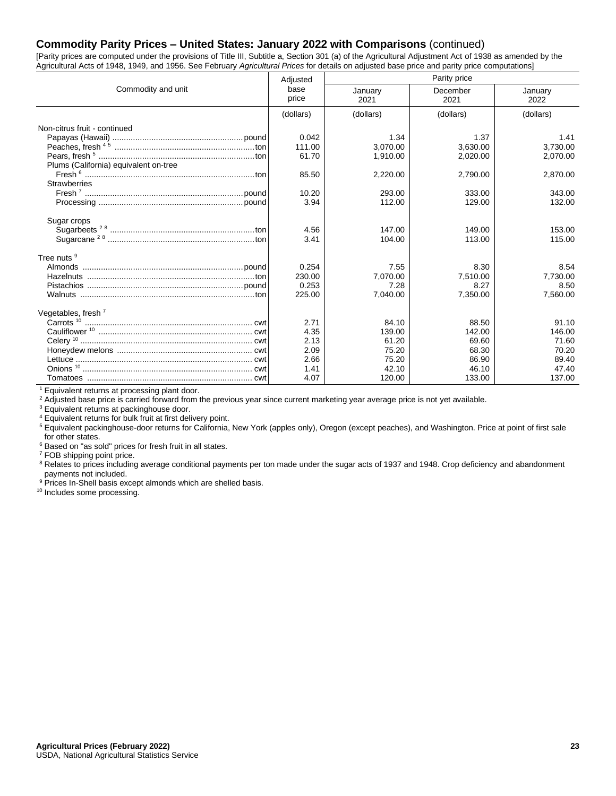#### **Commodity Parity Prices – United States: January 2022 with Comparisons** (continued)

[Parity prices are computed under the provisions of Title III, Subtitle a, Section 301 (a) of the Agricultural Adjustment Act of 1938 as amended by the Agricultural Acts of 1948, 1949, and 1956. See February *Agricultural Prices* for details on adjusted base price and parity price computations]

|                                       | Adjusted      | Parity price    |                  |                 |  |  |
|---------------------------------------|---------------|-----------------|------------------|-----------------|--|--|
| Commodity and unit                    | base<br>price | January<br>2021 | December<br>2021 | January<br>2022 |  |  |
|                                       | (dollars)     | (dollars)       | (dollars)        | (dollars)       |  |  |
| Non-citrus fruit - continued          |               |                 |                  |                 |  |  |
|                                       | 0.042         | 1.34            | 1.37             | 1.41            |  |  |
|                                       | 111.00        | 3.070.00        | 3.630.00         | 3.730.00        |  |  |
|                                       | 61.70         | 1,910.00        | 2.020.00         | 2,070.00        |  |  |
| Plums (California) equivalent on-tree |               |                 |                  |                 |  |  |
|                                       | 85.50         | 2,220.00        | 2,790.00         | 2,870.00        |  |  |
| <b>Strawberries</b>                   |               |                 |                  |                 |  |  |
|                                       | 10.20         | 293.00          | 333.00           | 343.00          |  |  |
|                                       | 3.94          | 112.00          | 129.00           | 132.00          |  |  |
|                                       |               |                 |                  |                 |  |  |
| Sugar crops                           |               | 147.00          | 149.00           | 153.00          |  |  |
|                                       | 4.56<br>3.41  | 104.00          | 113.00           | 115.00          |  |  |
|                                       |               |                 |                  |                 |  |  |
| Tree nuts <sup>9</sup>                |               |                 |                  |                 |  |  |
|                                       | 0.254         | 7.55            | 8.30             | 8.54            |  |  |
|                                       | 230.00        | 7,070.00        | 7,510.00         | 7,730.00        |  |  |
|                                       | 0.253         | 7.28            | 8.27             | 8.50            |  |  |
|                                       | 225.00        | 7,040.00        | 7,350.00         | 7,560.00        |  |  |
| Vegetables, fresh $7$                 |               |                 |                  |                 |  |  |
|                                       | 2.71          | 84.10           | 88.50            | 91.10           |  |  |
|                                       | 4.35          | 139.00          | 142.00           | 146.00          |  |  |
|                                       | 2.13          | 61.20           | 69.60            | 71.60           |  |  |
|                                       | 2.09          | 75.20           | 68.30            | 70.20           |  |  |
|                                       | 2.66          | 75.20           | 86.90            | 89.40           |  |  |
|                                       | 1.41          | 42.10           | 46.10            | 47.40           |  |  |
|                                       | 4.07          | 120.00          | 133.00           | 137.00          |  |  |

<sup>1</sup> Equivalent returns at processing plant door.

<sup>2</sup> Adjusted base price is carried forward from the previous year since current marketing year average price is not yet available.

<sup>3</sup> Equivalent returns at packinghouse door.

<sup>4</sup> Equivalent returns for bulk fruit at first delivery point.

<sup>5</sup> Equivalent packinghouse-door returns for California, New York (apples only), Oregon (except peaches), and Washington. Price at point of first sale for other states.

<sup>6</sup> Based on "as sold" prices for fresh fruit in all states.

<sup>7</sup> FOB shipping point price.

<sup>8</sup> Relates to prices including average conditional payments per ton made under the sugar acts of 1937 and 1948. Crop deficiency and abandonment payments not included.

<sup>9</sup> Prices In-Shell basis except almonds which are shelled basis.

<sup>10</sup> Includes some processing.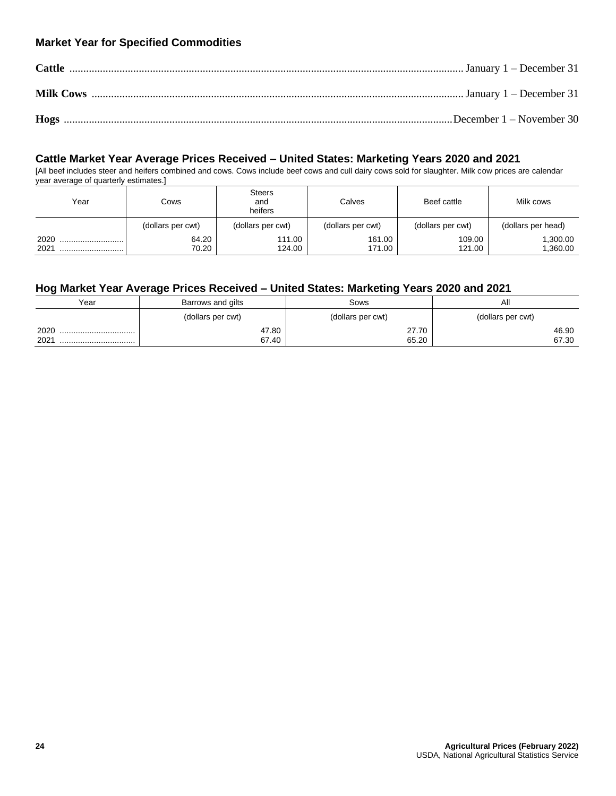# **Market Year for Specified Commodities**

## **Cattle Market Year Average Prices Received – United States: Marketing Years 2020 and 2021**

[All beef includes steer and heifers combined and cows. Cows include beef cows and cull dairy cows sold for slaughter. Milk cow prices are calendar year average of quarterly estimates.]

| Year         | Cows              | Steers<br>and<br>heifers | Calves            | Beef cattle       | Milk cows          |
|--------------|-------------------|--------------------------|-------------------|-------------------|--------------------|
|              | (dollars per cwt) | (dollars per cwt)        | (dollars per cwt) | (dollars per cwt) | (dollars per head) |
| 2020<br>2021 | 64.20<br>70.20    | 111.00<br>124.00         | 161.00<br>171.00  | 109.00<br>121.00  | .300.00<br>,360.00 |

# **Hog Market Year Average Prices Received – United States: Marketing Years 2020 and 2021**

| Year     | Barrows and gilts | Sows              | All               |
|----------|-------------------|-------------------|-------------------|
|          | (dollars per cwt) | (dollars per cwt) | (dollars per cwt) |
| 2020<br> | 47.80             | 27.70             | 46.90             |
| 2021<br> | 67.40             | 65.20             | 67.30             |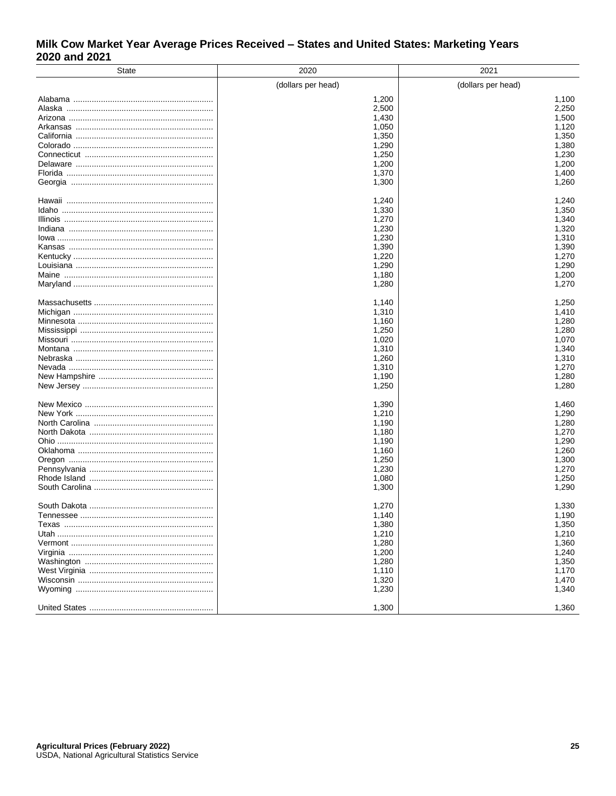# Milk Cow Market Year Average Prices Received - States and United States: Marketing Years 2020 and 2021

| <b>State</b> | 2020               | 2021               |
|--------------|--------------------|--------------------|
|              | (dollars per head) | (dollars per head) |
|              | 1,200              | 1,100              |
|              | 2,500              | 2,250              |
|              | 1,430              | 1,500              |
|              | 1,050              | 1,120              |
|              | 1,350              | 1,350              |
|              | 1,290              | 1,380              |
|              | 1,250              | 1,230              |
|              | 1,200              | 1,200              |
|              | 1,370              | 1,400              |
|              | 1,300              | 1,260              |
|              |                    |                    |
|              | 1,240              | 1,240              |
|              | 1,330              | 1,350              |
|              | 1,270              | 1,340              |
|              | 1,230              | 1,320              |
|              | 1,230              | 1,310              |
|              | 1,390              | 1,390              |
|              | 1,220              | 1,270              |
|              | 1,290              | 1,290              |
|              | 1,180              | 1,200              |
|              | 1,280              | 1,270              |
|              | 1,140              | 1,250              |
|              | 1,310              | 1,410              |
|              | 1,160              | 1,280              |
|              | 1,250              | 1,280              |
|              | 1,020              | 1,070              |
|              | 1,310              | 1,340              |
|              | 1,260              | 1,310              |
|              | 1,310              | 1,270              |
|              | 1,190              | 1,280              |
|              | 1,250              | 1,280              |
|              | 1,390              | 1,460              |
|              | 1,210              | 1,290              |
|              | 1,190              | 1,280              |
|              | 1,180              | 1,270              |
|              | 1,190              | 1,290              |
|              | 1,160              | 1,260              |
|              | 1,250              | 1,300              |
|              | 1,230              | 1,270              |
|              | 1,080              | 1,250              |
|              | 1,300              | 1,290              |
|              |                    |                    |
|              | 1,270              | 1,330              |
| Tennessee    | 1,140              | 1,190              |
|              | 1,380              | 1,350              |
|              | 1,210              | 1,210              |
|              | 1,280              | 1,360              |
|              | 1,200              | 1,240              |
|              | 1,280              | 1,350              |
|              | 1,110              | 1,170              |
|              | 1,320              | 1,470              |
|              | 1,230              | 1,340              |
|              | 1,300              | 1,360              |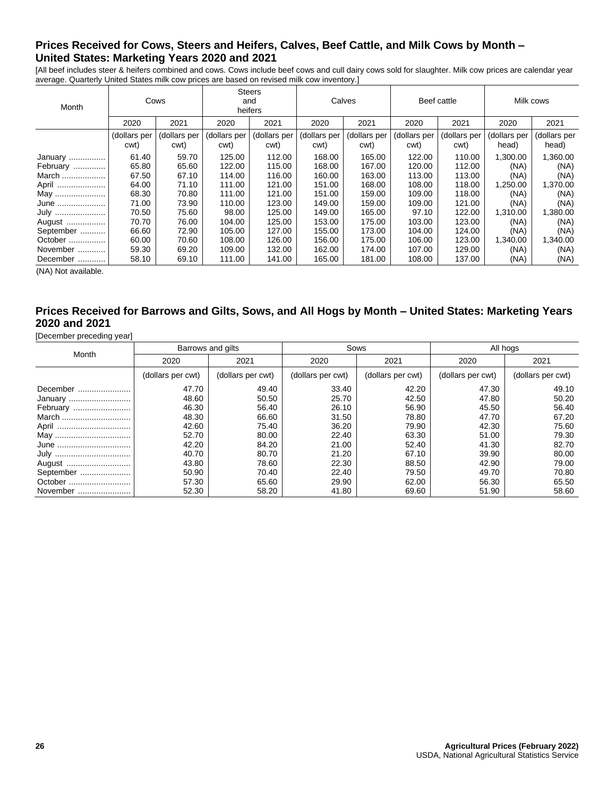# **Prices Received for Cows, Steers and Heifers, Calves, Beef Cattle, and Milk Cows by Month – United States: Marketing Years 2020 and 2021**

[All beef includes steer & heifers combined and cows. Cows include beef cows and cull dairy cows sold for slaughter. Milk cow prices are calendar year average. Quarterly United States milk cow prices are based on revised milk cow inventory.]

| Month     | Cows                 |                      | <b>Steers</b><br>and<br>heifers |                      | Calves               |                      | Beef cattle          |                      | Milk cows             |                       |
|-----------|----------------------|----------------------|---------------------------------|----------------------|----------------------|----------------------|----------------------|----------------------|-----------------------|-----------------------|
|           | 2020                 | 2021                 | 2020                            | 2021                 | 2020                 | 2021                 | 2020                 | 2021                 | 2020                  | 2021                  |
|           | (dollars per<br>cwt) | (dollars per<br>cwt) | (dollars per<br>cwt)            | (dollars per<br>cwt) | (dollars per<br>cwt) | (dollars per<br>cwt) | (dollars per<br>cwt) | (dollars per<br>cwt) | (dollars per<br>head) | (dollars per<br>head) |
| January   | 61.40                | 59.70                | 125.00                          | 112.00               | 168.00               | 165.00               | 122.00               | 110.00               | 1,300.00              | 1,360.00              |
| February  | 65.80                | 65.60                | 122.00                          | 115.00               | 168.00               | 167.00               | 120.00               | 112.00               | (NA)                  | (NA)                  |
| March     | 67.50                | 67.10                | 114.00                          | 116.00               | 160.00               | 163.00               | 113.00               | 113.00               | (NA)                  | (NA)                  |
| April     | 64.00                | 71.10                | 111.00                          | 121.00               | 151.00               | 168.00               | 108.00               | 118.00               | ,250.00               | 1,370.00              |
| May       | 68.30                | 70.80                | 111.00                          | 121.00               | 151.00               | 159.00               | 109.00               | 118.00               | (NA)                  | (NA)                  |
| June      | 71.00                | 73.90                | 110.00                          | 123.00               | 149.00               | 159.00               | 109.00               | 121.00               | (NA)                  | (NA)                  |
| July      | 70.50                | 75.60                | 98.00                           | 125.00               | 149.00               | 165.00               | 97.10                | 122.00               | 1,310.00              | 1,380.00              |
| August    | 70.70                | 76.00                | 104.00                          | 125.00               | 153.00               | 175.00               | 103.00               | 123.00               | (NA)                  | (NA)                  |
| September | 66.60                | 72.90                | 105.00                          | 127.00               | 155.00               | 173.00               | 104.00               | 124.00               | (NA)                  | (NA)                  |
| October   | 60.00                | 70.60                | 108.00                          | 126.00               | 156.00               | 175.00               | 106.00               | 123.00               | 1,340.00              | 1,340.00              |
| November  | 59.30                | 69.20                | 109.00                          | 132.00               | 162.00               | 174.00               | 107.00               | 129.00               | (NA)                  | (NA)                  |
| December  | 58.10                | 69.10                | 111.00                          | 141.00               | 165.00               | 181.00               | 108.00               | 137.00               | (NA)                  | (NA)                  |

(NA) Not available.

#### **Prices Received for Barrows and Gilts, Sows, and All Hogs by Month – United States: Marketing Years 2020 and 2021**

[December preceding year]

| .         |                   |                   |                   |                   |                   |                   |
|-----------|-------------------|-------------------|-------------------|-------------------|-------------------|-------------------|
| Month     | Barrows and gilts |                   | Sows              |                   | All hogs          |                   |
|           | 2020              | 2021              | 2020              | 2021              | 2020              | 2021              |
|           | (dollars per cwt) | (dollars per cwt) | (dollars per cwt) | (dollars per cwt) | (dollars per cwt) | (dollars per cwt) |
| December  | 47.70             | 49.40             | 33.40             | 42.20             | 47.30             | 49.10             |
| January   | 48.60             | 50.50             | 25.70             | 42.50             | 47.80             | 50.20             |
| February  | 46.30             | 56.40             | 26.10             | 56.90             | 45.50             | 56.40             |
| March     | 48.30             | 66.60             | 31.50             | 78.80             | 47.70             | 67.20             |
| April     | 42.60             | 75.40             | 36.20             | 79.90             | 42.30             | 75.60             |
| May       | 52.70             | 80.00             | 22.40             | 63.30             | 51.00             | 79.30             |
| June      | 42.20             | 84.20             | 21.00             | 52.40             | 41.30             | 82.70             |
| July      | 40.70             | 80.70             | 21.20             | 67.10             | 39.90             | 80.00             |
| August    | 43.80             | 78.60             | 22.30             | 88.50             | 42.90             | 79.00             |
| September | 50.90             | 70.40             | 22.40             | 79.50             | 49.70             | 70.80             |
| October   | 57.30             | 65.60             | 29.90             | 62.00             | 56.30             | 65.50             |
| November  | 52.30             | 58.20             | 41.80             | 69.60             | 51.90             | 58.60             |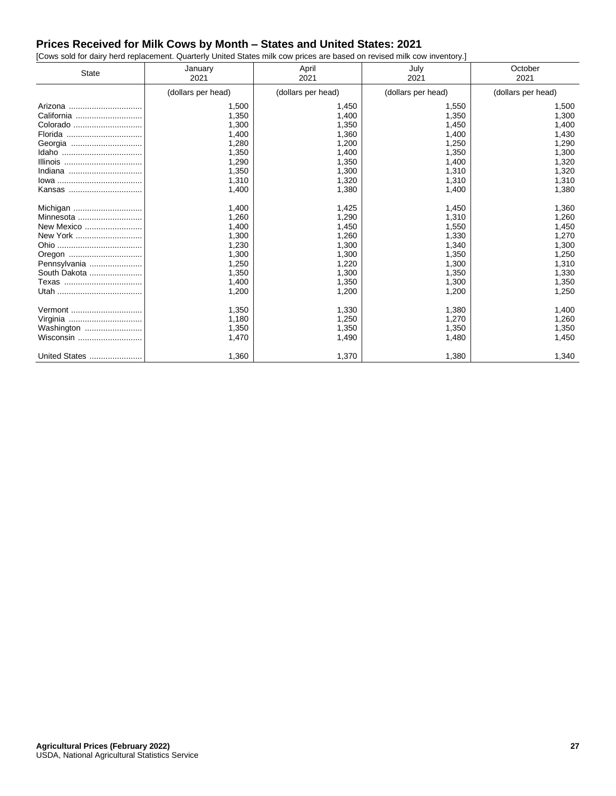# **Prices Received for Milk Cows by Month – States and United States: 2021**

[Cows sold for dairy herd replacement. Quarterly United States milk cow prices are based on revised milk cow inventory.]

| <b>State</b>  | April<br>January<br>2021<br>2021 |                    | July<br>2021       | October<br>2021    |  |
|---------------|----------------------------------|--------------------|--------------------|--------------------|--|
|               | (dollars per head)               | (dollars per head) | (dollars per head) | (dollars per head) |  |
| Arizona       | 1,500                            | 1,450              | 1,550              | 1,500              |  |
| California    | 1,350                            | 1,400              | 1,350              | 1,300              |  |
| Colorado      | 1,300                            | 1,350              | 1,450              | 1,400              |  |
|               | 1,400                            | 1,360              | 1,400              | 1,430              |  |
| Georgia       | 1,280                            | 1,200              | 1,250              | 1,290              |  |
|               | 1,350                            | 1,400              | 1,350              | 1,300              |  |
| Illinois      | 1,290                            | 1,350              | 1,400              | 1,320              |  |
| Indiana       | 1,350                            | 1,300              | 1,310              | 1,320              |  |
|               | 1,310                            | 1,320              | 1,310              | 1,310              |  |
| Kansas        | 1,400                            | 1,380              | 1,400              | 1,380              |  |
|               |                                  |                    |                    |                    |  |
| Michigan      | 1,400                            | 1,425              | 1,450              | 1,360              |  |
| Minnesota     | 1,260                            | 1,290              | 1,310              | 1,260              |  |
| New Mexico    | 1,400                            | 1,450              | 1,550              | 1,450              |  |
|               | 1,300                            | 1,260              | 1,330              | 1,270              |  |
|               | 1,230                            | 1,300              | 1,340              | 1,300              |  |
|               | 1,300                            | 1,300              | 1,350              | 1,250              |  |
| Pennsylvania  | 1,250                            | 1,220              | 1.300              | 1,310              |  |
| South Dakota  | 1,350                            | 1,300              | 1,350              | 1,330              |  |
| Texas         | 1,400                            | 1,350              | 1,300              | 1,350              |  |
|               | 1,200                            | 1,200              | 1,200              | 1,250              |  |
| Vermont       | 1,350                            | 1,330              | 1,380              | 1,400              |  |
|               | 1,180                            | 1,250              | 1,270              | 1,260              |  |
| Washington    | 1,350                            | 1,350              | 1,350              | 1,350              |  |
| Wisconsin     | 1,470                            | 1,490              | 1,480              | 1,450              |  |
| United States | 1,360                            | 1,370              | 1,380              | 1,340              |  |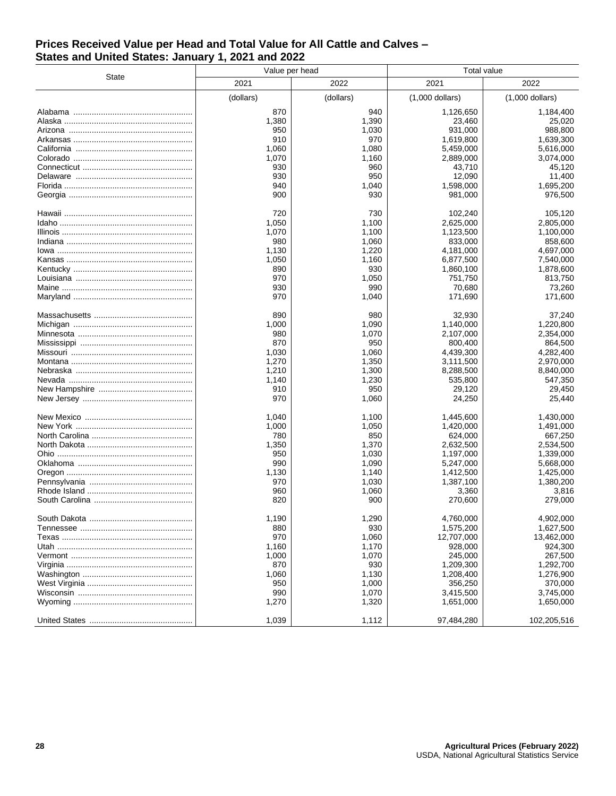#### **Prices Received Value per Head and Total Value for All Cattle and Calves – States and United States: January 1, 2021 and 2022**

|       | Value per head |           | <b>Total value</b> |                   |  |
|-------|----------------|-----------|--------------------|-------------------|--|
| State | 2021           | 2022      | 2021               | 2022              |  |
|       | (dollars)      | (dollars) | $(1,000$ dollars)  | $(1,000$ dollars) |  |
|       | 870            | 940       | 1,126,650          | 1,184,400         |  |
|       | 1,380          | 1,390     | 23,460             | 25,020            |  |
|       |                |           |                    | 988,800           |  |
|       | 950            | 1,030     | 931,000            |                   |  |
|       | 910            | 970       | 1,619,800          | 1,639,300         |  |
|       | 1,060          | 1,080     | 5,459,000          | 5,616,000         |  |
|       | 1,070          | 1,160     | 2,889,000          | 3,074,000         |  |
|       | 930            | 960       | 43,710             | 45,120            |  |
|       | 930            | 950       | 12,090             | 11,400            |  |
|       | 940            | 1,040     | 1,598,000          | 1,695,200         |  |
|       | 900            | 930       | 981,000            | 976,500           |  |
|       | 720            | 730       | 102,240            | 105,120           |  |
|       | 1,050          | 1,100     | 2,625,000          | 2,805,000         |  |
|       | 1,070          |           | 1,123,500          |                   |  |
|       |                | 1,100     |                    | 1,100,000         |  |
|       | 980            | 1,060     | 833,000            | 858,600           |  |
|       | 1,130          | 1,220     | 4,181,000          | 4,697,000         |  |
|       | 1,050          | 1,160     | 6,877,500          | 7,540,000         |  |
|       | 890            | 930       | 1,860,100          | 1,878,600         |  |
|       | 970            | 1,050     | 751,750            | 813,750           |  |
|       | 930            | 990       | 70,680             | 73,260            |  |
|       | 970            | 1,040     | 171,690            | 171,600           |  |
|       | 890            | 980       | 32,930             | 37,240            |  |
|       | 1,000          | 1,090     | 1,140,000          | 1,220,800         |  |
|       | 980            | 1,070     | 2,107,000          | 2,354,000         |  |
|       | 870            | 950       | 800.400            | 864,500           |  |
|       | 1,030          | 1,060     | 4,439,300          | 4,282,400         |  |
|       | 1,270          | 1,350     |                    | 2,970,000         |  |
|       |                |           | 3,111,500          |                   |  |
|       | 1,210          | 1,300     | 8,288,500          | 8,840,000         |  |
|       | 1,140          | 1,230     | 535,800            | 547,350           |  |
|       | 910            | 950       | 29,120             | 29,450            |  |
|       | 970            | 1,060     | 24,250             | 25,440            |  |
|       | 1,040          | 1,100     | 1,445,600          | 1,430,000         |  |
|       | 1,000          | 1,050     | 1,420,000          | 1,491,000         |  |
|       | 780            | 850       | 624,000            | 667,250           |  |
|       | 1,350          | 1,370     | 2,632,500          | 2,534,500         |  |
|       | 950            | 1,030     | 1,197,000          | 1,339,000         |  |
|       | 990            | 1,090     | 5,247,000          | 5,668,000         |  |
|       |                | 1,140     |                    | 1,425,000         |  |
|       | 1,130          |           | 1,412,500          |                   |  |
|       | 970            | 1,030     | 1,387,100          | 1,380,200         |  |
|       | 960            | 1,060     | 3,360              | 3,816             |  |
|       | 820            | 900       | 270,600            | 279,000           |  |
|       | 1,190          | 1,290     | 4,760,000          | 4,902,000         |  |
|       | 880            | 930       | 1,575,200          | 1,627,500         |  |
|       | 970            | 1,060     | 12,707,000         | 13,462,000        |  |
|       | 1,160          | 1,170     | 928,000            | 924,300           |  |
|       |                |           | 245.000            |                   |  |
|       | 1,000          | 1,070     |                    | 267,500           |  |
|       | 870            | 930       | 1,209,300          | 1,292,700         |  |
|       | 1,060          | 1,130     | 1,208,400          | 1,276,900         |  |
|       | 950            | 1,000     | 356,250            | 370,000           |  |
|       | 990            | 1,070     | 3,415,500          | 3,745,000         |  |
|       | 1,270          | 1,320     | 1,651,000          | 1,650,000         |  |
|       | 1,039          | 1,112     | 97,484,280         | 102,205,516       |  |
|       |                |           |                    |                   |  |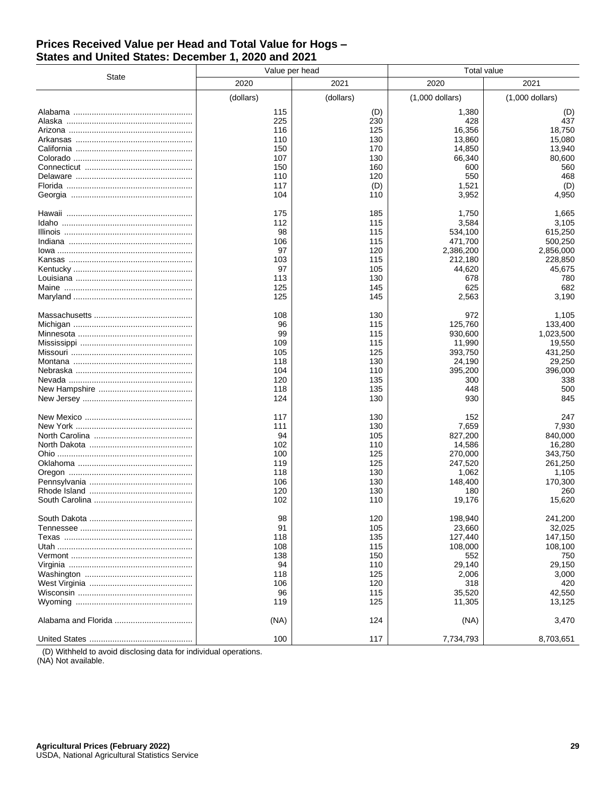#### **Prices Received Value per Head and Total Value for Hogs – States and United States: December 1, 2020 and 2021**

|       | Value per head |           | <b>Total value</b> |                   |  |  |
|-------|----------------|-----------|--------------------|-------------------|--|--|
| State | 2020           | 2021      | 2020               | 2021              |  |  |
|       | (dollars)      | (dollars) | $(1,000$ dollars)  | $(1,000$ dollars) |  |  |
|       | 115            | (D)       | 1,380              | (D)               |  |  |
|       | 225            | 230       | 428                | 437               |  |  |
|       | 116            | 125       | 16,356             | 18,750            |  |  |
|       | 110            | 130       | 13,860             | 15,080            |  |  |
|       | 150            | 170       | 14,850             | 13,940            |  |  |
|       | 107            | 130       | 66,340             | 80,600            |  |  |
|       | 150            | 160       | 600                | 560               |  |  |
|       |                |           |                    |                   |  |  |
|       | 110            | 120       | 550                | 468               |  |  |
|       | 117            | (D)       | 1,521              | (D)               |  |  |
|       | 104            | 110       | 3,952              | 4,950             |  |  |
|       | 175            | 185       | 1,750              | 1,665             |  |  |
|       | 112            | 115       | 3,584              | 3,105             |  |  |
|       | 98             | 115       | 534,100            | 615,250           |  |  |
|       | 106            | 115       | 471,700            | 500,250           |  |  |
|       | 97             | 120       | 2,386,200          | 2,856,000         |  |  |
|       | 103            | 115       | 212,180            | 228,850           |  |  |
|       | 97             | 105       | 44,620             | 45,675            |  |  |
|       | 113            | 130       | 678                | 780               |  |  |
|       | 125            | 145       | 625                | 682               |  |  |
|       | 125            | 145       | 2,563              | 3,190             |  |  |
|       | 108            | 130       | 972                | 1,105             |  |  |
|       | 96             | 115       | 125,760            | 133,400           |  |  |
|       | 99             | 115       | 930,600            | 1,023,500         |  |  |
|       | 109            | 115       | 11,990             | 19,550            |  |  |
|       | 105            | 125       | 393.750            | 431,250           |  |  |
|       | 118            | 130       | 24,190             | 29,250            |  |  |
|       | 104            | 110       | 395,200            | 396,000           |  |  |
|       | 120            | 135       | 300                | 338               |  |  |
|       | 118            | 135       | 448                | 500               |  |  |
|       | 124            |           | 930                | 845               |  |  |
|       |                | 130       |                    |                   |  |  |
|       | 117            | 130       | 152                | 247               |  |  |
|       | 111            | 130       | 7,659              | 7,930             |  |  |
|       | 94             | 105       | 827,200            | 840,000           |  |  |
|       | 102            | 110       | 14,586             | 16,280            |  |  |
|       | 100            | 125       | 270,000            | 343,750           |  |  |
|       | 119            | 125       | 247,520            | 261,250           |  |  |
|       | 118            | 130       | 1,062              | 1.105             |  |  |
|       | 106            | 130       | 148,400            | 170,300           |  |  |
|       | 120            | 130       | 180                | 260               |  |  |
|       | 102            | 110       | 19,176             | 15,620            |  |  |
|       | 98             | 120       | 198,940            | 241,200           |  |  |
|       | 91             | 105       | 23,660             | 32,025            |  |  |
|       | 118            | 135       | 127,440            | 147,150           |  |  |
|       | 108            | 115       | 108,000            | 108,100           |  |  |
|       | 138            | 150       | 552                | 750               |  |  |
|       | 94             | 110       | 29,140             | 29,150            |  |  |
|       | 118            |           |                    | 3,000             |  |  |
|       |                | 125       | 2,006<br>318       | 420               |  |  |
|       | 106            | 120       |                    |                   |  |  |
|       | 96             | 115       | 35,520             | 42,550            |  |  |
|       | 119            | 125       | 11,305             | 13,125            |  |  |
|       | (NA)           | 124       | (NA)               | 3,470             |  |  |
|       | 100            | 117       | 7,734,793          | 8,703,651         |  |  |

(D) Withheld to avoid disclosing data for individual operations.

(NA) Not available.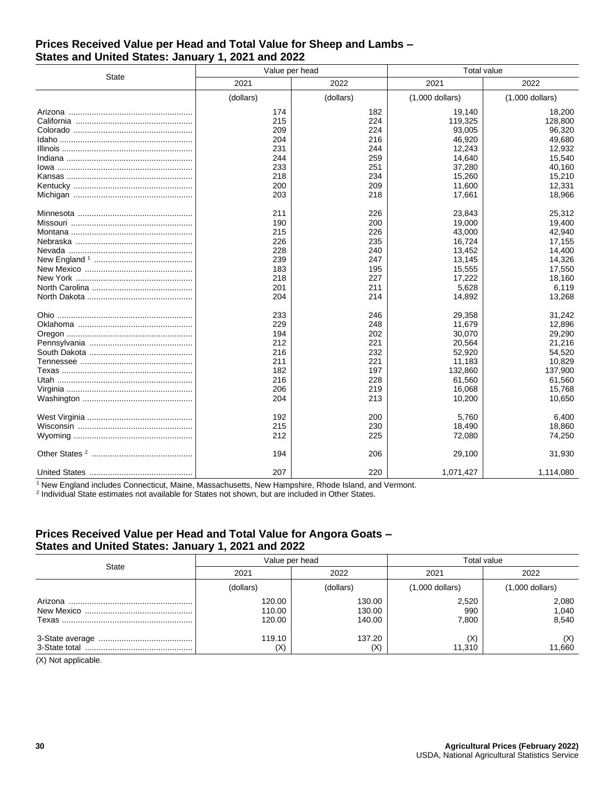#### **Prices Received Value per Head and Total Value for Sheep and Lambs – States and United States: January 1, 2021 and 2022**

| <b>State</b> | Value per head |           | <b>Total value</b> |                   |  |
|--------------|----------------|-----------|--------------------|-------------------|--|
|              | 2021           | 2022      | 2021               | 2022              |  |
|              | (dollars)      | (dollars) | $(1,000$ dollars)  | $(1,000$ dollars) |  |
|              | 174            | 182       | 19,140             | 18,200            |  |
|              | 215            | 224       | 119,325            | 128,800           |  |
|              | 209            | 224       | 93,005             | 96,320            |  |
|              | 204            | 216       | 46,920             | 49.680            |  |
|              | 231            | 244       | 12,243             | 12,932            |  |
|              | 244            | 259       | 14,640             | 15,540            |  |
|              | 233            | 251       | 37,280             | 40,160            |  |
|              | 218            | 234       | 15,260             | 15,210            |  |
|              | 200            | 209       | 11,600             | 12,331            |  |
|              | 203            | 218       | 17,661             | 18,966            |  |
|              | 211            | 226       | 23,843             | 25,312            |  |
|              | 190            | 200       | 19,000             | 19,400            |  |
|              | 215            | 226       | 43,000             | 42,940            |  |
|              | 226            | 235       | 16,724             | 17,155            |  |
|              | 228            | 240       | 13,452             | 14,400            |  |
|              | 239            | 247       | 13,145             | 14,326            |  |
|              | 183            | 195       | 15,555             | 17,550            |  |
|              | 218            | 227       | 17,222             | 18,160            |  |
|              | 201            | 211       | 5,628              | 6,119             |  |
|              | 204            | 214       | 14,892             | 13,268            |  |
|              | 233            | 246       | 29,358             | 31,242            |  |
|              | 229            | 248       | 11,679             | 12,896            |  |
|              | 194            | 202       | 30,070             | 29,290            |  |
|              | 212            | 221       | 20,564             | 21,216            |  |
|              | 216            | 232       | 52,920             | 54,520            |  |
|              | 211            | 221       | 11,183             | 10.829            |  |
|              | 182            | 197       | 132,860            | 137,900           |  |
|              | 216            | 228       | 61,560             | 61,560            |  |
|              | 206            | 219       | 16,068             | 15,768            |  |
|              | 204            | 213       | 10,200             | 10,650            |  |
|              | 192            | 200       | 5.760              | 6,400             |  |
|              | 215            | 230       | 18,490             | 18,860            |  |
|              | 212            | 225       | 72,080             | 74,250            |  |
|              | 194            | 206       | 29,100             | 31,930            |  |
|              | 207            | 220       | 1,071,427          | 1,114,080         |  |

<sup>1</sup> New England includes Connecticut, Maine, Massachusetts, New Hampshire, Rhode Island, and Vermont.

<sup>2</sup> Individual State estimates not available for States not shown, but are included in Other States.

## **Prices Received Value per Head and Total Value for Angora Goats – States and United States: January 1, 2021 and 2022**

| <b>State</b> |                            | Value per head             | Total value           |                         |  |
|--------------|----------------------------|----------------------------|-----------------------|-------------------------|--|
|              | 2021                       | 2022                       |                       | 2022                    |  |
|              | (dollars)                  | (dollars)                  | $(1,000$ dollars)     | $(1,000$ dollars)       |  |
|              | 120.00<br>110.00<br>120.00 | 130.00<br>130.00<br>140.00 | 2,520<br>990<br>7.800 | 2,080<br>1,040<br>8,540 |  |
|              | 119.10<br>(X)              | 137.20<br>(X)              | (X)<br>11.310         | (X)<br>11,660           |  |

(X) Not applicable.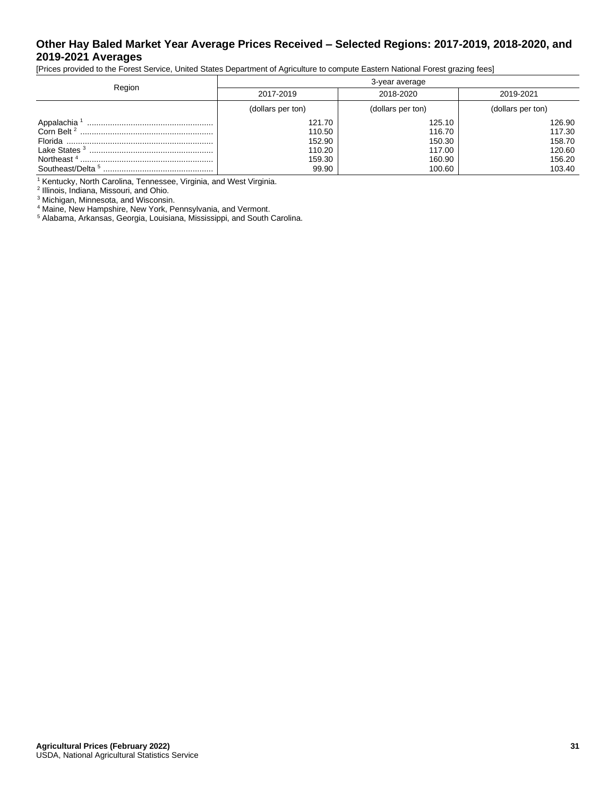## **Other Hay Baled Market Year Average Prices Received – Selected Regions: 2017-2019, 2018-2020, and 2019-2021 Averages**

[Prices provided to the Forest Service, United States Department of Agriculture to compute Eastern National Forest grazing fees]

|                         | 3-year average                                          |                                                          |                                                          |  |  |
|-------------------------|---------------------------------------------------------|----------------------------------------------------------|----------------------------------------------------------|--|--|
| Region                  | 2017-2019                                               | 2018-2020                                                | 2019-2021                                                |  |  |
|                         | (dollars per ton)                                       | (dollars per ton)                                        | (dollars per ton)                                        |  |  |
| Appalachia <sup>1</sup> | 121.70<br>110.50<br>152.90<br>110.20<br>159.30<br>99.90 | 125.10<br>116.70<br>150.30<br>117.00<br>160.90<br>100.60 | 126.90<br>117.30<br>158.70<br>120.60<br>156.20<br>103.40 |  |  |

<sup>1</sup> Kentucky, North Carolina, Tennessee, Virginia, and West Virginia.

2 Illinois, Indiana, Missouri, and Ohio.

<sup>3</sup> Michigan, Minnesota, and Wisconsin.

<sup>4</sup> Maine, New Hampshire, New York, Pennsylvania, and Vermont.

<sup>5</sup> Alabama, Arkansas, Georgia, Louisiana, Mississippi, and South Carolina.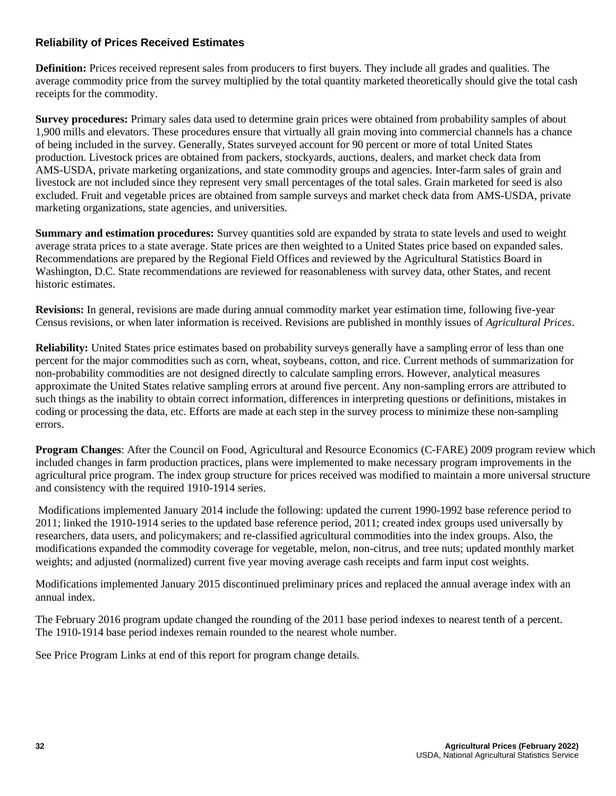## **Reliability of Prices Received Estimates**

**Definition:** Prices received represent sales from producers to first buyers. They include all grades and qualities. The average commodity price from the survey multiplied by the total quantity marketed theoretically should give the total cash receipts for the commodity.

**Survey procedures:** Primary sales data used to determine grain prices were obtained from probability samples of about 1,900 mills and elevators. These procedures ensure that virtually all grain moving into commercial channels has a chance of being included in the survey. Generally, States surveyed account for 90 percent or more of total United States production. Livestock prices are obtained from packers, stockyards, auctions, dealers, and market check data from AMS-USDA, private marketing organizations, and state commodity groups and agencies. Inter-farm sales of grain and livestock are not included since they represent very small percentages of the total sales. Grain marketed for seed is also excluded. Fruit and vegetable prices are obtained from sample surveys and market check data from AMS-USDA, private marketing organizations, state agencies, and universities.

**Summary and estimation procedures:** Survey quantities sold are expanded by strata to state levels and used to weight average strata prices to a state average. State prices are then weighted to a United States price based on expanded sales. Recommendations are prepared by the Regional Field Offices and reviewed by the Agricultural Statistics Board in Washington, D.C. State recommendations are reviewed for reasonableness with survey data, other States, and recent historic estimates.

**Revisions:** In general, revisions are made during annual commodity market year estimation time, following five-year Census revisions, or when later information is received. Revisions are published in monthly issues of *Agricultural Prices*.

**Reliability:** United States price estimates based on probability surveys generally have a sampling error of less than one percent for the major commodities such as corn, wheat, soybeans, cotton, and rice. Current methods of summarization for non-probability commodities are not designed directly to calculate sampling errors. However, analytical measures approximate the United States relative sampling errors at around five percent. Any non-sampling errors are attributed to such things as the inability to obtain correct information, differences in interpreting questions or definitions, mistakes in coding or processing the data, etc. Efforts are made at each step in the survey process to minimize these non-sampling errors.

**Program Changes**: After the Council on Food, Agricultural and Resource Economics (C-FARE) 2009 program review which included changes in farm production practices, plans were implemented to make necessary program improvements in the agricultural price program. The index group structure for prices received was modified to maintain a more universal structure and consistency with the required 1910-1914 series.

Modifications implemented January 2014 include the following: updated the current 1990-1992 base reference period to 2011; linked the 1910-1914 series to the updated base reference period, 2011; created index groups used universally by researchers, data users, and policymakers; and re-classified agricultural commodities into the index groups. Also, the modifications expanded the commodity coverage for vegetable, melon, non-citrus, and tree nuts; updated monthly market weights; and adjusted (normalized) current five year moving average cash receipts and farm input cost weights.

Modifications implemented January 2015 discontinued preliminary prices and replaced the annual average index with an annual index.

The February 2016 program update changed the rounding of the 2011 base period indexes to nearest tenth of a percent. The 1910-1914 base period indexes remain rounded to the nearest whole number.

See Price Program Links at end of this report for program change details.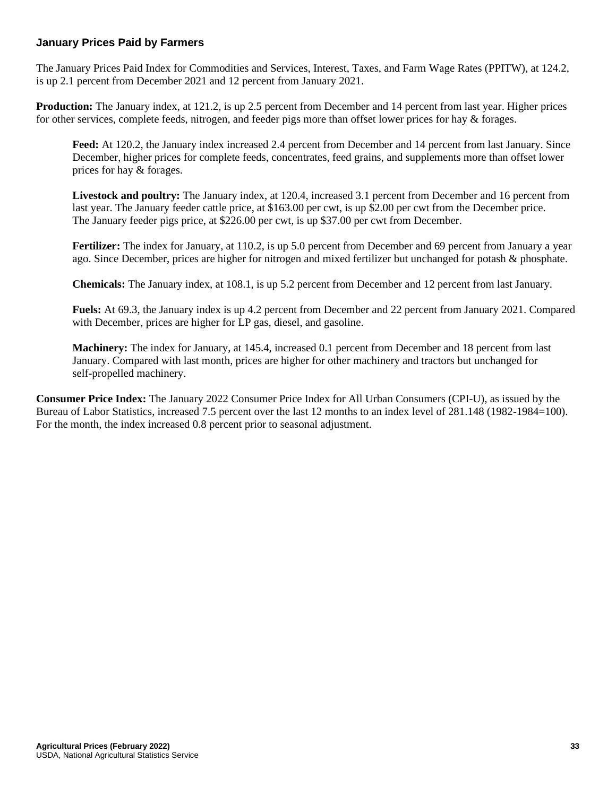## **January Prices Paid by Farmers**

The January Prices Paid Index for Commodities and Services, Interest, Taxes, and Farm Wage Rates (PPITW), at 124.2, is up 2.1 percent from December 2021 and 12 percent from January 2021.

**Production:** The January index, at 121.2, is up 2.5 percent from December and 14 percent from last year. Higher prices for other services, complete feeds, nitrogen, and feeder pigs more than offset lower prices for hay & forages.

**Feed:** At 120.2, the January index increased 2.4 percent from December and 14 percent from last January. Since December, higher prices for complete feeds, concentrates, feed grains, and supplements more than offset lower prices for hay & forages.

**Livestock and poultry:** The January index, at 120.4, increased 3.1 percent from December and 16 percent from last year. The January feeder cattle price, at \$163.00 per cwt, is up \$2.00 per cwt from the December price. The January feeder pigs price, at \$226.00 per cwt, is up \$37.00 per cwt from December.

**Fertilizer:** The index for January, at 110.2, is up 5.0 percent from December and 69 percent from January a year ago. Since December, prices are higher for nitrogen and mixed fertilizer but unchanged for potash & phosphate.

**Chemicals:** The January index, at 108.1, is up 5.2 percent from December and 12 percent from last January.

**Fuels:** At 69.3, the January index is up 4.2 percent from December and 22 percent from January 2021. Compared with December, prices are higher for LP gas, diesel, and gasoline.

**Machinery:** The index for January, at 145.4, increased 0.1 percent from December and 18 percent from last January. Compared with last month, prices are higher for other machinery and tractors but unchanged for self-propelled machinery.

**Consumer Price Index:** The January 2022 Consumer Price Index for All Urban Consumers (CPI-U), as issued by the Bureau of Labor Statistics, increased 7.5 percent over the last 12 months to an index level of 281.148 (1982-1984=100). For the month, the index increased 0.8 percent prior to seasonal adjustment.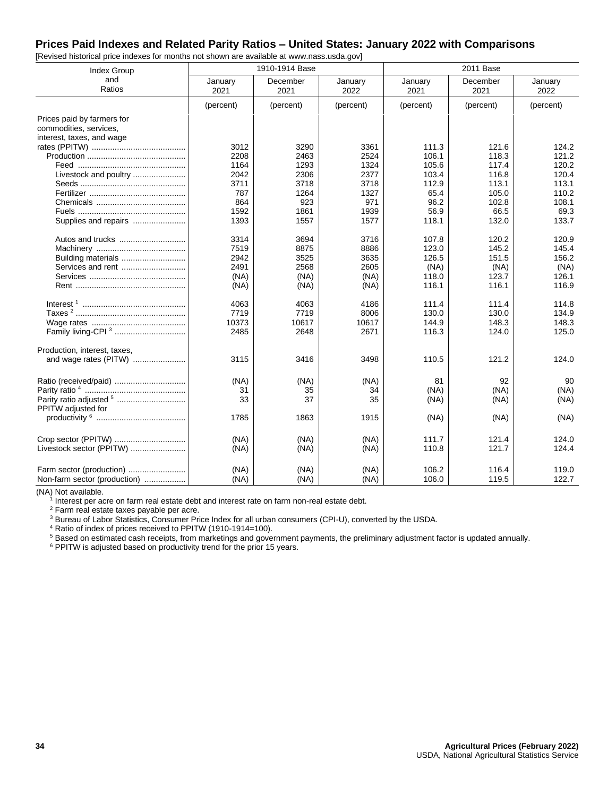#### **Prices Paid Indexes and Related Parity Ratios – United States: January 2022 with Comparisons**

| <b>Index Group</b>           |                 | 1910-1914 Base   |                 |                 | 2011 Base        |                 |
|------------------------------|-----------------|------------------|-----------------|-----------------|------------------|-----------------|
| and<br>Ratios                | January<br>2021 | December<br>2021 | January<br>2022 | January<br>2021 | December<br>2021 | January<br>2022 |
|                              | (percent)       | (percent)        | (percent)       | (percent)       | (percent)        | (percent)       |
| Prices paid by farmers for   |                 |                  |                 |                 |                  |                 |
| commodities, services,       |                 |                  |                 |                 |                  |                 |
| interest, taxes, and wage    |                 |                  |                 |                 |                  |                 |
|                              | 3012            | 3290             | 3361            | 111.3           | 121.6            | 124.2           |
|                              | 2208            | 2463             | 2524            | 106.1           | 118.3            | 121.2           |
|                              | 1164            | 1293             | 1324            | 105.6           | 117.4            | 120.2           |
| Livestock and poultry        | 2042            | 2306             | 2377            | 103.4           | 116.8            | 120.4           |
|                              | 3711            | 3718             | 3718            | 112.9           | 113.1            | 113.1           |
|                              | 787             | 1264             | 1327            | 65.4            | 105.0            | 110.2           |
|                              | 864             | 923              | 971             | 96.2            | 102.8            | 108.1           |
|                              | 1592            | 1861             | 1939            | 56.9            | 66.5             | 69.3            |
| Supplies and repairs         | 1393            | 1557             | 1577            | 118.1           | 132.0            | 133.7           |
|                              | 3314            | 3694             | 3716            | 107.8           | 120.2            | 120.9           |
|                              | 7519            | 8875             | 8886            | 123.0           | 145.2            | 145.4           |
| Building materials           | 2942            | 3525             | 3635            | 126.5           | 151.5            | 156.2           |
| Services and rent            | 2491            | 2568             | 2605            | (NA)            | (NA)             | (NA)            |
|                              | (NA)            | (NA)             | (NA)            | 118.0           | 123.7            | 126.1           |
|                              | (NA)            | (NA)             | (NA)            | 116.1           | 116.1            | 116.9           |
|                              | 4063            | 4063             | 4186            | 111.4           | 111.4            | 114.8           |
|                              | 7719            | 7719             | 8006            | 130.0           | 130.0            | 134.9           |
|                              | 10373           | 10617            | 10617           | 144.9           | 148.3            | 148.3           |
| Family living-CPI 3          | 2485            | 2648             | 2671            | 116.3           | 124.0            | 125.0           |
| Production, interest, taxes, |                 |                  |                 |                 |                  |                 |
| and wage rates (PITW)        | 3115            | 3416             | 3498            | 110.5           | 121.2            | 124.0           |
|                              | (NA)            | (NA)             | (NA)            | 81              | 92               | 90              |
|                              | 31              | 35               | 34              | (NA)            | (NA)             | (NA)            |
| PPITW adjusted for           | 33              | 37               | 35              | (NA)            | (NA)             | (NA)            |
|                              | 1785            | 1863             | 1915            | (NA)            | (NA)             | (NA)            |
|                              | (NA)            | (NA)             | (NA)            | 111.7           | 121.4            | 124.0           |
| Livestock sector (PPITW)     | (NA)            | (NA)             | (NA)            | 110.8           | 121.7            | 124.4           |
| Farm sector (production)     | (NA)            | (NA)             | (NA)            | 106.2           | 116.4            | 119.0           |
| Non-farm sector (production) | (NA)            | (NA)             | (NA)            | 106.0           | 119.5            | 122.7           |

[Revised historical price indexes for months not shown are available at www.nass.usda.gov]

(NA) Not available.

1 Interest per acre on farm real estate debt and interest rate on farm non-real estate debt.

<sup>2</sup> Farm real estate taxes payable per acre.

<sup>3</sup> Bureau of Labor Statistics, Consumer Price Index for all urban consumers (CPI-U), converted by the USDA.

<sup>4</sup> Ratio of index of prices received to PPITW (1910-1914=100).

<sup>5</sup> Based on estimated cash receipts, from marketings and government payments, the preliminary adjustment factor is updated annually.

<sup>6</sup> PPITW is adjusted based on productivity trend for the prior 15 years.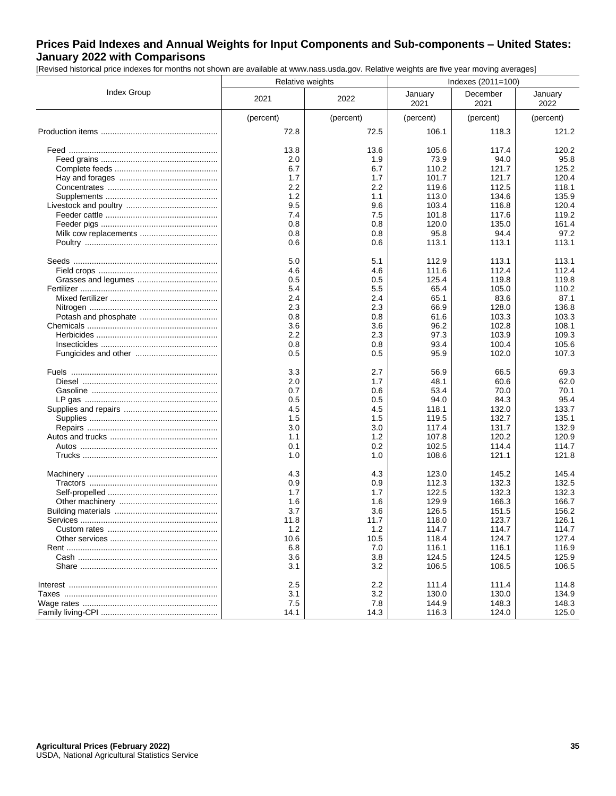## **Prices Paid Indexes and Annual Weights for Input Components and Sub-components – United States: January 2022 with Comparisons**

[Revised historical price indexes for months not shown are available at www.nass.usda.gov. Relative weights are five year moving averages]

|             | Relative weights |                  | Indexes (2011=100) |                  |                 |
|-------------|------------------|------------------|--------------------|------------------|-----------------|
| Index Group | 2021             | 2022             | January<br>2021    | December<br>2021 | January<br>2022 |
|             | (percent)        | (percent)        | (percent)          | (percent)        | (percent)       |
|             | 72.8             | 72.5             | 106.1              | 118.3            | 121.2           |
|             | 13.8             | 13.6             | 105.6              | 117.4            | 120.2           |
|             | 2.0              | 1.9              | 73.9               | 94.0             | 95.8            |
|             | 6.7              | 6.7              | 110.2              | 121.7            | 125.2           |
|             | 1.7              | 1.7              | 101.7              | 121.7            | 120.4           |
|             | 2.2              | $2.2\phantom{0}$ | 119.6              | 112.5            | 118.1           |
|             | 1.2              | 1.1              | 113.0              | 134.6            | 135.9           |
|             | 9.5              | 9.6              | 103.4              | 116.8            | 120.4           |
|             | 7.4              | 7.5              | 101.8              | 117.6            | 119.2           |
|             | 0.8              | 0.8              | 120.0              | 135.0            | 161.4           |
|             | 0.8              | 0.8              | 95.8               | 94.4             | 97.2            |
|             | 0.6              | 0.6              | 113.1              | 113.1            | 113.1           |
|             | 5.0              | 5.1              | 112.9              | 113.1            | 113.1           |
|             | 4.6              | 4.6              | 111.6              | 112.4            | 112.4           |
|             | 0.5              | 0.5              | 125.4              | 119.8            | 119.8           |
|             | 5.4              | 5.5              | 65.4               | 105.0            | 110.2           |
|             | 2.4              | 2.4              | 65.1               | 83.6             | 87.1            |
|             | 2.3              | 2.3              | 66.9               | 128.0            | 136.8           |
|             | 0.8              | 0.8              | 61.6               | 103.3            | 103.3           |
|             | 3.6              | 3.6              | 96.2               | 102.8            | 108.1           |
|             | 2.2              | 2.3              | 97.3               | 103.9            | 109.3           |
|             | 0.8              | 0.8              | 93.4               | 100.4            | 105.6           |
|             | 0.5              | 0.5              | 95.9               | 102.0            | 107.3           |
|             | 3.3              | 2.7              | 56.9               | 66.5             | 69.3            |
|             | 2.0              | 1.7              | 48.1               | 60.6             | 62.0            |
|             | 0.7              | 0.6              | 53.4               | 70.0             | 70.1            |
|             | 0.5              | 0.5              | 94.0               | 84.3             | 95.4            |
|             | 4.5              | 4.5              | 118.1              | 132.0            | 133.7           |
|             | 1.5              | 1.5              | 119.5              | 132.7            | 135.1           |
|             | 3.0              | 3.0              | 117.4              | 131.7            | 132.9           |
|             | 1.1              | 1.2              | 107.8              | 120.2            | 120.9           |
|             | 0.1              | 0.2              | 102.5              | 114.4            | 114.7           |
|             | 1.0              | 1.0              | 108.6              | 121.1            | 121.8           |
|             | 4.3              | 4.3              | 123.0              | 145.2            | 145.4           |
|             | 0.9              | 0.9              | 112.3              | 132.3            | 132.5           |
|             | 1.7              | 1.7              | 122.5              | 132.3            | 132.3           |
|             | 1.6              | 1.6              | 129.9              | 166.3            | 166.7           |
|             | 3.7              | 3.6              | 126.5              | 151.5            | 156.2           |
|             | 11.8             | 11.7             | 118.0              | 123.7            | 126.1           |
|             | 1.2              | 1.2              | 114.7              | 114.7            | 114.7           |
|             | 10.6             | 10.5             | 118.4              | 124.7            | 127.4           |
|             | 6.8              | 7.0              | 116.1              | 116.1            | 116.9           |
|             | 3.6              | 3.8              | 124.5              | 124.5            | 125.9           |
|             | 3.1              | 3.2              | 106.5              | 106.5            | 106.5           |
|             | 2.5              | 2.2              | 111.4              | 111.4            | 114.8           |
|             | 3.1              | 3.2              | 130.0              | 130.0            | 134.9           |
|             | 7.5              | 7.8              | 144.9              | 148.3            | 148.3           |
|             | 14.1             | 14.3             | 116.3              | 124.0            | 125.0           |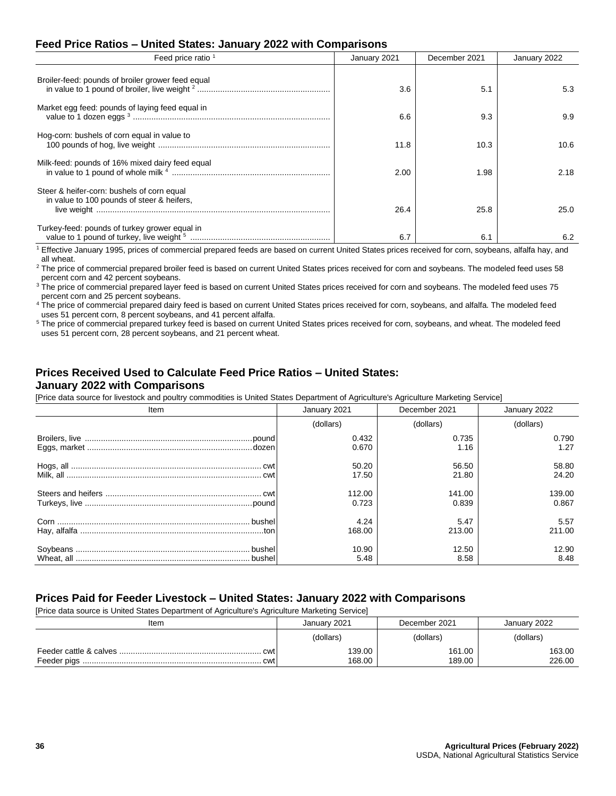#### **Feed Price Ratios – United States: January 2022 with Comparisons**

| Feed price ratio <sup>1</sup>                                                            | January 2021 | December 2021 | January 2022 |  |
|------------------------------------------------------------------------------------------|--------------|---------------|--------------|--|
| Broiler-feed: pounds of broiler grower feed equal                                        | 3.6          | 5.1           | 5.3          |  |
| Market egg feed: pounds of laying feed equal in                                          | 6.6          | 9.3           | 9.9          |  |
| Hog-corn: bushels of corn equal in value to                                              | 11.8         | 10.3          | 10.6         |  |
| Milk-feed: pounds of 16% mixed dairy feed equal                                          | 2.00         | 1.98          | 2.18         |  |
| Steer & heifer-corn: bushels of corn equal<br>in value to 100 pounds of steer & heifers. | 26.4         | 25.8          | 25.0         |  |
| Turkey-feed: pounds of turkey grower equal in                                            | 6.7          | 6.7           | 6.2          |  |

<sup>1</sup> Effective January 1995, prices of commercial prepared feeds are based on current United States prices received for corn, soybeans, alfalfa hay, and all wheat.

<sup>2</sup> The price of commercial prepared broiler feed is based on current United States prices received for corn and soybeans. The modeled feed uses 58 percent corn and 42 percent soybeans.

 $3$  The price of commercial prepared layer feed is based on current United States prices received for corn and soybeans. The modeled feed uses 75 percent corn and 25 percent soybeans.

<sup>4</sup> The price of commercial prepared dairy feed is based on current United States prices received for corn, soybeans, and alfalfa. The modeled feed uses 51 percent corn, 8 percent soybeans, and 41 percent alfalfa.

<sup>5</sup> The price of commercial prepared turkey feed is based on current United States prices received for corn, soybeans, and wheat. The modeled feed uses 51 percent corn, 28 percent soybeans, and 21 percent wheat.

#### **Prices Received Used to Calculate Feed Price Ratios – United States: January 2022 with Comparisons**

[Price data source for livestock and poultry commodities is United States Department of Agriculture's Agriculture Marketing Service]

| Item | January 2021 | December 2021 | January 2022 |  |
|------|--------------|---------------|--------------|--|
|      | (dollars)    | (dollars)     | (dollars)    |  |
|      | 0.432        | 0.735         | 0.790        |  |
|      | 0.670        | 1.16          | 1.27         |  |
|      | 50.20        | 56.50         | 58.80        |  |
|      | 17.50        | 21.80         | 24.20        |  |
|      | 112.00       | 141.00        | 139.00       |  |
|      | 0.723        | 0.839         | 0.867        |  |
|      | 4.24         | 5.47          | 5.57         |  |
|      | 168.00       | 213.00        | 211.00       |  |
|      | 10.90        | 12.50         | 12.90        |  |
|      | 5.48         | 8.58          | 8.48         |  |

#### **Prices Paid for Feeder Livestock – United States: January 2022 with Comparisons**

[Price data source is United States Department of Agriculture's Agriculture Marketing Service]

| Item       | January 2021     | December 2021    | January 2022     |  |
|------------|------------------|------------------|------------------|--|
|            | (dollars)        | (dollars)        | (dollars)        |  |
| cwt<br>cwt | 139.00<br>168.00 | 161.00<br>189.00 | 163.00<br>226.00 |  |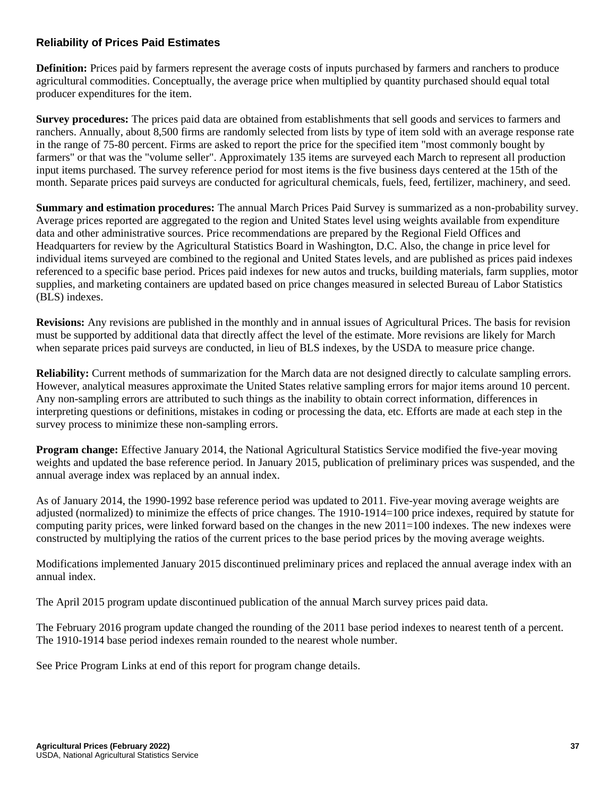## **Reliability of Prices Paid Estimates**

**Definition:** Prices paid by farmers represent the average costs of inputs purchased by farmers and ranchers to produce agricultural commodities. Conceptually, the average price when multiplied by quantity purchased should equal total producer expenditures for the item.

**Survey procedures:** The prices paid data are obtained from establishments that sell goods and services to farmers and ranchers. Annually, about 8,500 firms are randomly selected from lists by type of item sold with an average response rate in the range of 75-80 percent. Firms are asked to report the price for the specified item "most commonly bought by farmers" or that was the "volume seller". Approximately 135 items are surveyed each March to represent all production input items purchased. The survey reference period for most items is the five business days centered at the 15th of the month. Separate prices paid surveys are conducted for agricultural chemicals, fuels, feed, fertilizer, machinery, and seed.

**Summary and estimation procedures:** The annual March Prices Paid Survey is summarized as a non-probability survey. Average prices reported are aggregated to the region and United States level using weights available from expenditure data and other administrative sources. Price recommendations are prepared by the Regional Field Offices and Headquarters for review by the Agricultural Statistics Board in Washington, D.C. Also, the change in price level for individual items surveyed are combined to the regional and United States levels, and are published as prices paid indexes referenced to a specific base period. Prices paid indexes for new autos and trucks, building materials, farm supplies, motor supplies, and marketing containers are updated based on price changes measured in selected Bureau of Labor Statistics (BLS) indexes.

**Revisions:** Any revisions are published in the monthly and in annual issues of Agricultural Prices. The basis for revision must be supported by additional data that directly affect the level of the estimate. More revisions are likely for March when separate prices paid surveys are conducted, in lieu of BLS indexes, by the USDA to measure price change.

**Reliability:** Current methods of summarization for the March data are not designed directly to calculate sampling errors. However, analytical measures approximate the United States relative sampling errors for major items around 10 percent. Any non-sampling errors are attributed to such things as the inability to obtain correct information, differences in interpreting questions or definitions, mistakes in coding or processing the data, etc. Efforts are made at each step in the survey process to minimize these non-sampling errors.

**Program change:** Effective January 2014, the National Agricultural Statistics Service modified the five-year moving weights and updated the base reference period. In January 2015, publication of preliminary prices was suspended, and the annual average index was replaced by an annual index.

As of January 2014, the 1990-1992 base reference period was updated to 2011. Five-year moving average weights are adjusted (normalized) to minimize the effects of price changes. The 1910-1914=100 price indexes, required by statute for computing parity prices, were linked forward based on the changes in the new 2011=100 indexes. The new indexes were constructed by multiplying the ratios of the current prices to the base period prices by the moving average weights.

Modifications implemented January 2015 discontinued preliminary prices and replaced the annual average index with an annual index.

The April 2015 program update discontinued publication of the annual March survey prices paid data.

The February 2016 program update changed the rounding of the 2011 base period indexes to nearest tenth of a percent. The 1910-1914 base period indexes remain rounded to the nearest whole number.

See Price Program Links at end of this report for program change details.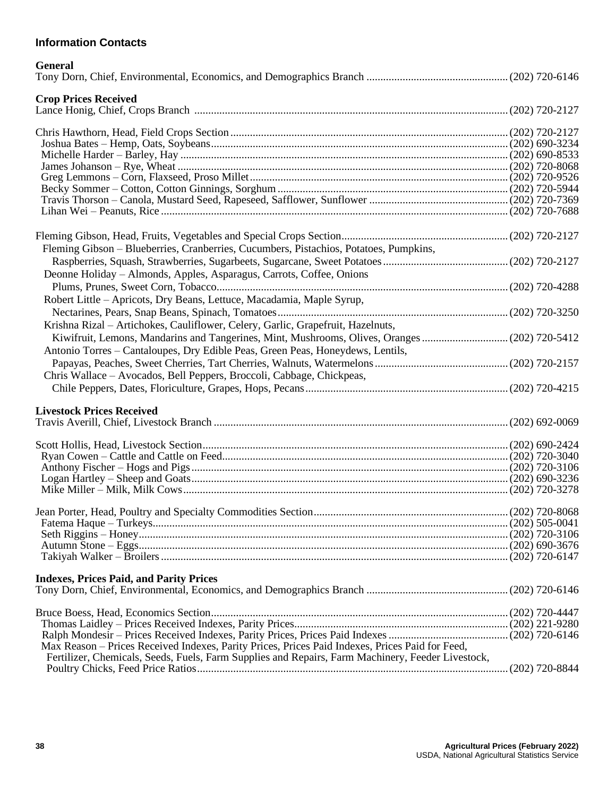# **Information Contacts**

| <b>General</b>                                                                                    |  |
|---------------------------------------------------------------------------------------------------|--|
| <b>Crop Prices Received</b>                                                                       |  |
|                                                                                                   |  |
|                                                                                                   |  |
|                                                                                                   |  |
|                                                                                                   |  |
|                                                                                                   |  |
|                                                                                                   |  |
|                                                                                                   |  |
|                                                                                                   |  |
|                                                                                                   |  |
| Fleming Gibson - Blueberries, Cranberries, Cucumbers, Pistachios, Potatoes, Pumpkins,             |  |
|                                                                                                   |  |
| Deonne Holiday - Almonds, Apples, Asparagus, Carrots, Coffee, Onions                              |  |
|                                                                                                   |  |
| Robert Little - Apricots, Dry Beans, Lettuce, Macadamia, Maple Syrup,                             |  |
|                                                                                                   |  |
|                                                                                                   |  |
| Krishna Rizal - Artichokes, Cauliflower, Celery, Garlic, Grapefruit, Hazelnuts,                   |  |
| Kiwifruit, Lemons, Mandarins and Tangerines, Mint, Mushrooms, Olives, Oranges  (202) 720-5412     |  |
| Antonio Torres - Cantaloupes, Dry Edible Peas, Green Peas, Honeydews, Lentils,                    |  |
|                                                                                                   |  |
| Chris Wallace – Avocados, Bell Peppers, Broccoli, Cabbage, Chickpeas,                             |  |
|                                                                                                   |  |
| <b>Livestock Prices Received</b>                                                                  |  |
|                                                                                                   |  |
|                                                                                                   |  |
|                                                                                                   |  |
|                                                                                                   |  |
|                                                                                                   |  |
|                                                                                                   |  |
|                                                                                                   |  |
|                                                                                                   |  |
|                                                                                                   |  |
|                                                                                                   |  |
|                                                                                                   |  |
|                                                                                                   |  |
| <b>Indexes, Prices Paid, and Parity Prices</b>                                                    |  |
|                                                                                                   |  |
|                                                                                                   |  |
|                                                                                                   |  |
|                                                                                                   |  |
| Max Reason - Prices Received Indexes, Parity Prices, Prices Paid Indexes, Prices Paid for Feed,   |  |
| Fertilizer, Chemicals, Seeds, Fuels, Farm Supplies and Repairs, Farm Machinery, Feeder Livestock, |  |
|                                                                                                   |  |